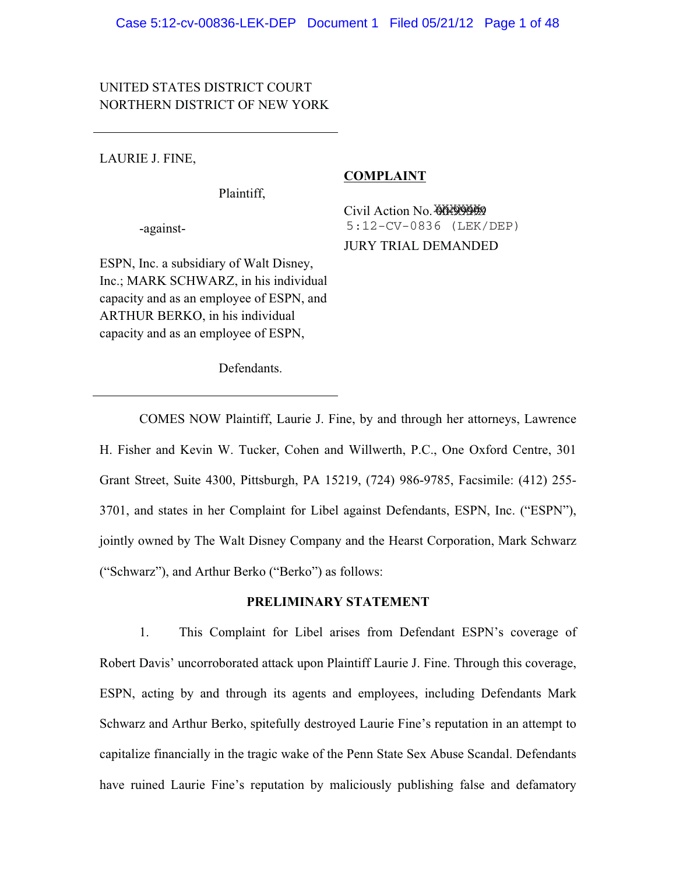## UNITED STATES DISTRICT COURT NORTHERN DISTRICT OF NEW YORK

LAURIE J. FINE,

Plaintiff,

-against-

Civil Action No. 00-00-009 JURY TRIAL DEMANDED 5:12-CV-0836 (LEK/DEP)

**COMPLAINT** 

ESPN, Inc. a subsidiary of Walt Disney, Inc.; MARK SCHWARZ, in his individual capacity and as an employee of ESPN, and ARTHUR BERKO, in his individual capacity and as an employee of ESPN,

Defendants.

 COMES NOW Plaintiff, Laurie J. Fine, by and through her attorneys, Lawrence H. Fisher and Kevin W. Tucker, Cohen and Willwerth, P.C., One Oxford Centre, 301 Grant Street, Suite 4300, Pittsburgh, PA 15219, (724) 986-9785, Facsimile: (412) 255- 3701, and states in her Complaint for Libel against Defendants, ESPN, Inc. ("ESPN"), jointly owned by The Walt Disney Company and the Hearst Corporation, Mark Schwarz ("Schwarz"), and Arthur Berko ("Berko") as follows:

### **PRELIMINARY STATEMENT**

1. This Complaint for Libel arises from Defendant ESPN's coverage of Robert Davis' uncorroborated attack upon Plaintiff Laurie J. Fine. Through this coverage, ESPN, acting by and through its agents and employees, including Defendants Mark Schwarz and Arthur Berko, spitefully destroyed Laurie Fine's reputation in an attempt to capitalize financially in the tragic wake of the Penn State Sex Abuse Scandal. Defendants have ruined Laurie Fine's reputation by maliciously publishing false and defamatory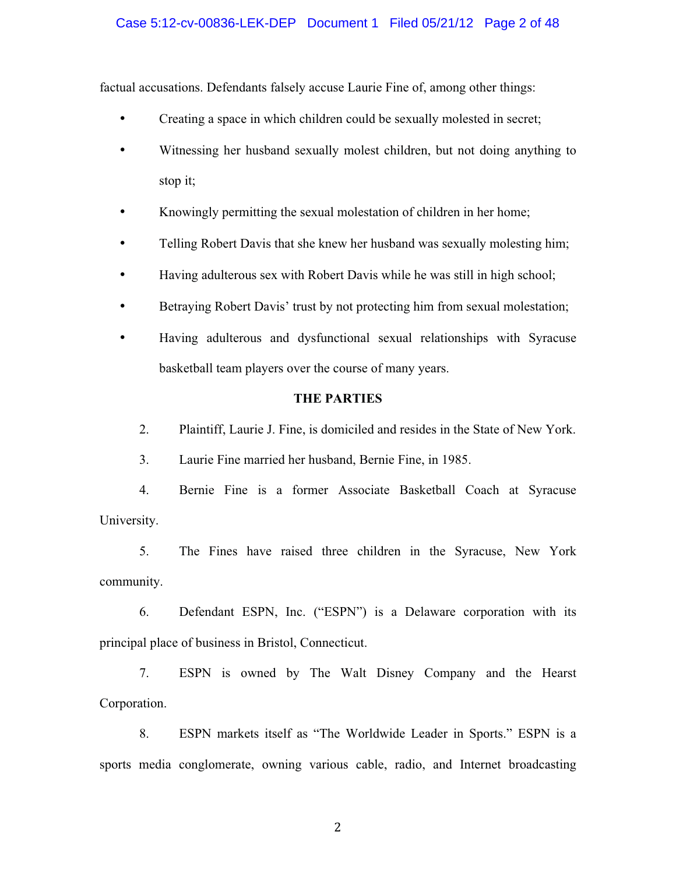### Case 5:12-cv-00836-LEK-DEP Document 1 Filed 05/21/12 Page 2 of 48

factual accusations. Defendants falsely accuse Laurie Fine of, among other things:

- Creating a space in which children could be sexually molested in secret;
- Witnessing her husband sexually molest children, but not doing anything to stop it;
- Knowingly permitting the sexual molestation of children in her home;
- Telling Robert Davis that she knew her husband was sexually molesting him;
- Having adulterous sex with Robert Davis while he was still in high school;
- Betraying Robert Davis' trust by not protecting him from sexual molestation;
- Having adulterous and dysfunctional sexual relationships with Syracuse basketball team players over the course of many years.

#### **THE PARTIES**

2. Plaintiff, Laurie J. Fine, is domiciled and resides in the State of New York.

3. Laurie Fine married her husband, Bernie Fine, in 1985.

4. Bernie Fine is a former Associate Basketball Coach at Syracuse University.

5. The Fines have raised three children in the Syracuse, New York community.

6. Defendant ESPN, Inc. ("ESPN") is a Delaware corporation with its principal place of business in Bristol, Connecticut.

7. ESPN is owned by The Walt Disney Company and the Hearst Corporation.

8. ESPN markets itself as "The Worldwide Leader in Sports." ESPN is a sports media conglomerate, owning various cable, radio, and Internet broadcasting

-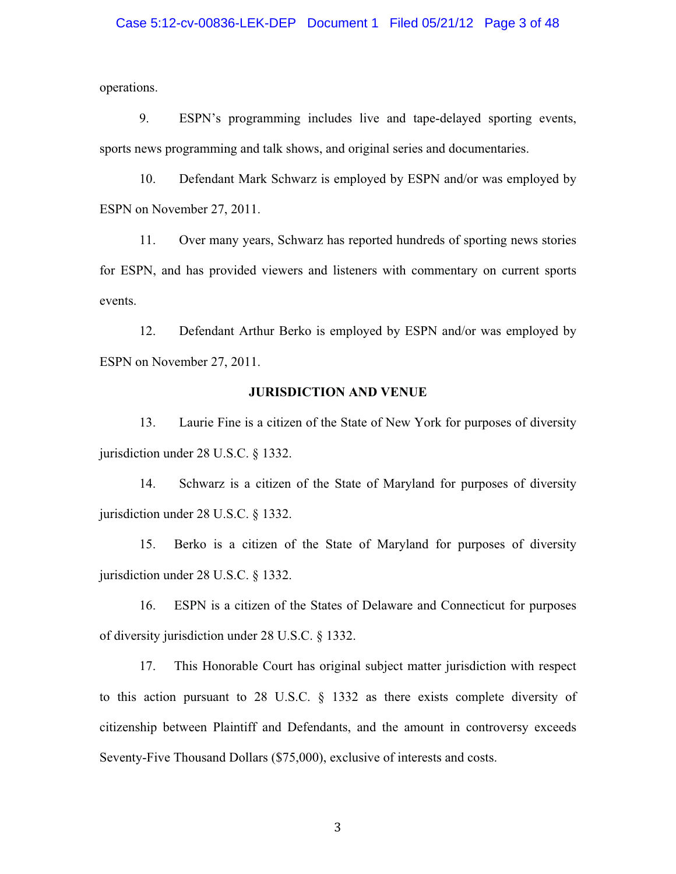# Case 5:12-cv-00836-LEK-DEP Document 1 Filed 05/21/12 Page 3 of 48

operations.

9. ESPN's programming includes live and tape-delayed sporting events, sports news programming and talk shows, and original series and documentaries.

10. Defendant Mark Schwarz is employed by ESPN and/or was employed by ESPN on November 27, 2011.

11. Over many years, Schwarz has reported hundreds of sporting news stories for ESPN, and has provided viewers and listeners with commentary on current sports events.

12. Defendant Arthur Berko is employed by ESPN and/or was employed by ESPN on November 27, 2011.

#### **JURISDICTION AND VENUE**

13. Laurie Fine is a citizen of the State of New York for purposes of diversity jurisdiction under 28 U.S.C. § 1332.

14. Schwarz is a citizen of the State of Maryland for purposes of diversity jurisdiction under 28 U.S.C. § 1332.

15. Berko is a citizen of the State of Maryland for purposes of diversity jurisdiction under 28 U.S.C. § 1332.

16. ESPN is a citizen of the States of Delaware and Connecticut for purposes of diversity jurisdiction under 28 U.S.C. § 1332.

17. This Honorable Court has original subject matter jurisdiction with respect to this action pursuant to 28 U.S.C. § 1332 as there exists complete diversity of citizenship between Plaintiff and Defendants, and the amount in controversy exceeds Seventy-Five Thousand Dollars (\$75,000), exclusive of interests and costs.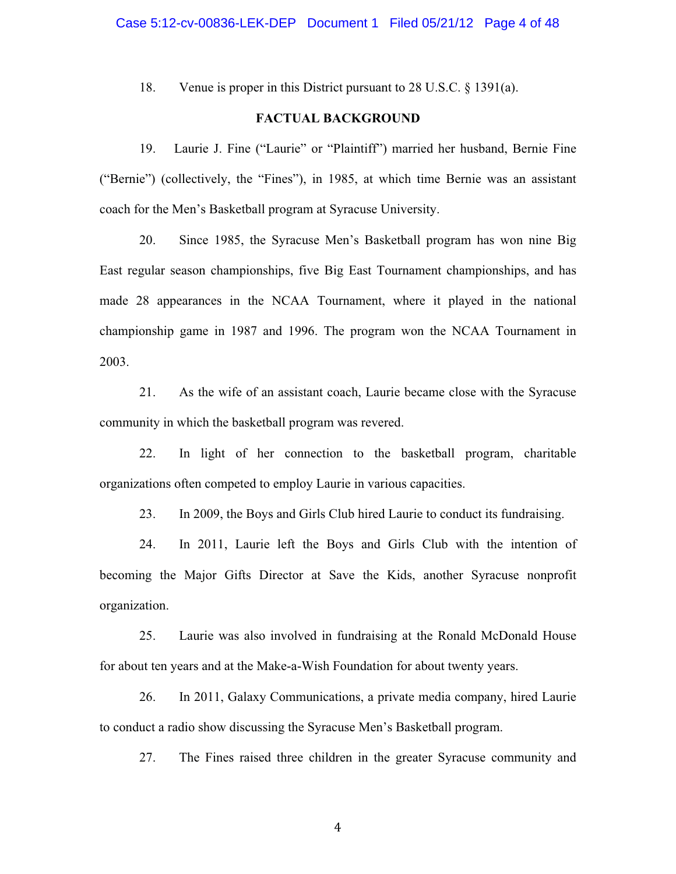18. Venue is proper in this District pursuant to 28 U.S.C. § 1391(a).

### **FACTUAL BACKGROUND**

19. Laurie J. Fine ("Laurie" or "Plaintiff") married her husband, Bernie Fine ("Bernie") (collectively, the "Fines"), in 1985, at which time Bernie was an assistant coach for the Men's Basketball program at Syracuse University.

20. Since 1985, the Syracuse Men's Basketball program has won nine Big East regular season championships, five Big East Tournament championships, and has made 28 appearances in the NCAA Tournament, where it played in the national championship game in 1987 and 1996. The program won the NCAA Tournament in 2003.

21. As the wife of an assistant coach, Laurie became close with the Syracuse community in which the basketball program was revered.

22. In light of her connection to the basketball program, charitable organizations often competed to employ Laurie in various capacities.

23. In 2009, the Boys and Girls Club hired Laurie to conduct its fundraising.

24. In 2011, Laurie left the Boys and Girls Club with the intention of becoming the Major Gifts Director at Save the Kids, another Syracuse nonprofit organization.

25. Laurie was also involved in fundraising at the Ronald McDonald House for about ten years and at the Make-a-Wish Foundation for about twenty years.

26. In 2011, Galaxy Communications, a private media company, hired Laurie to conduct a radio show discussing the Syracuse Men's Basketball program.

27. The Fines raised three children in the greater Syracuse community and

-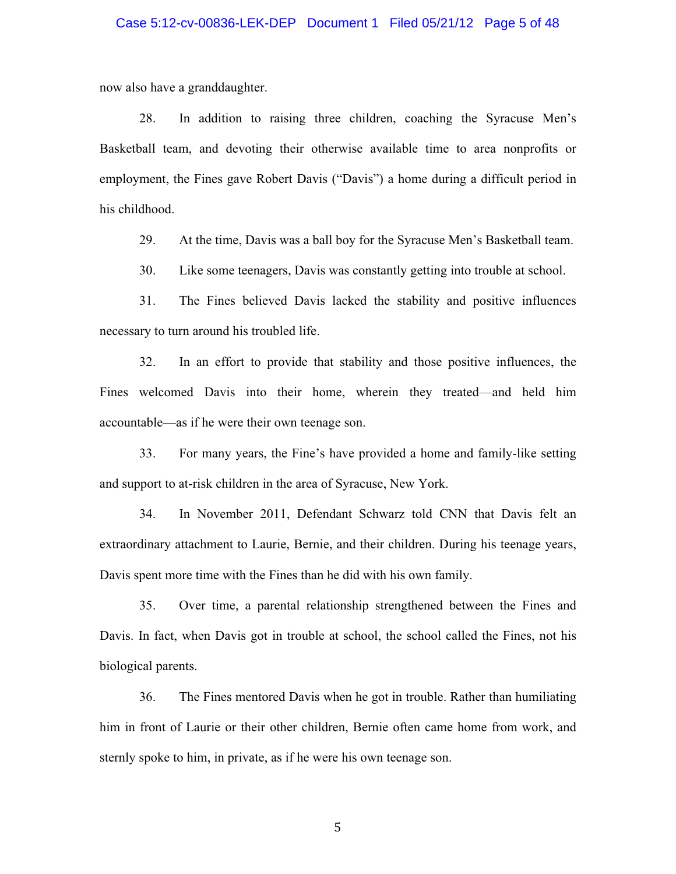### Case 5:12-cv-00836-LEK-DEP Document 1 Filed 05/21/12 Page 5 of 48

now also have a granddaughter.

28. In addition to raising three children, coaching the Syracuse Men's Basketball team, and devoting their otherwise available time to area nonprofits or employment, the Fines gave Robert Davis ("Davis") a home during a difficult period in his childhood.

29. At the time, Davis was a ball boy for the Syracuse Men's Basketball team.

30. Like some teenagers, Davis was constantly getting into trouble at school.

31. The Fines believed Davis lacked the stability and positive influences necessary to turn around his troubled life.

32. In an effort to provide that stability and those positive influences, the Fines welcomed Davis into their home, wherein they treated—and held him accountable—as if he were their own teenage son.

33. For many years, the Fine's have provided a home and family-like setting and support to at-risk children in the area of Syracuse, New York.

34. In November 2011, Defendant Schwarz told CNN that Davis felt an extraordinary attachment to Laurie, Bernie, and their children. During his teenage years, Davis spent more time with the Fines than he did with his own family.

35. Over time, a parental relationship strengthened between the Fines and Davis. In fact, when Davis got in trouble at school, the school called the Fines, not his biological parents.

36. The Fines mentored Davis when he got in trouble. Rather than humiliating him in front of Laurie or their other children, Bernie often came home from work, and sternly spoke to him, in private, as if he were his own teenage son.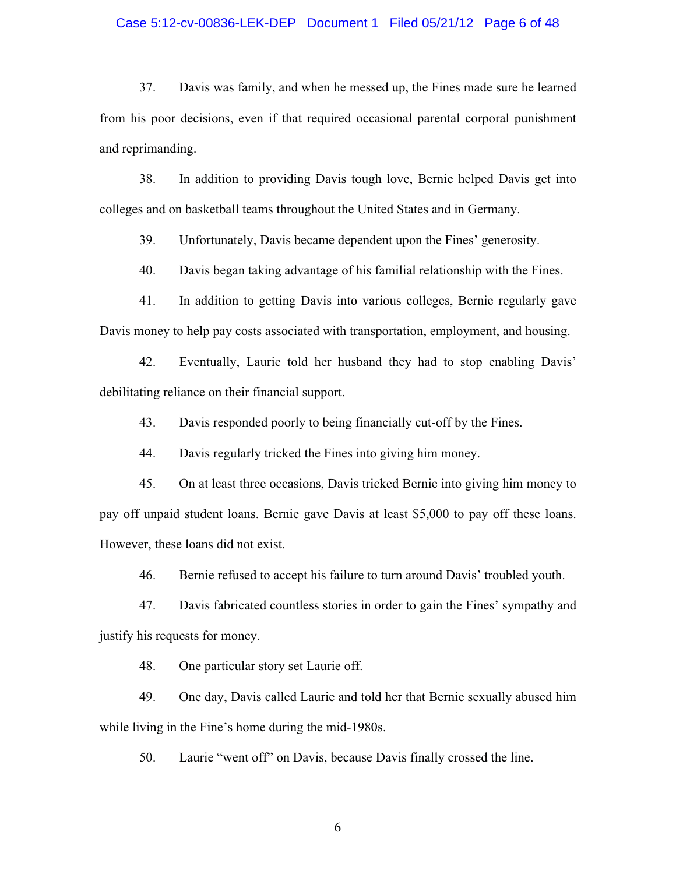## Case 5:12-cv-00836-LEK-DEP Document 1 Filed 05/21/12 Page 6 of 48

37. Davis was family, and when he messed up, the Fines made sure he learned from his poor decisions, even if that required occasional parental corporal punishment and reprimanding.

38. In addition to providing Davis tough love, Bernie helped Davis get into colleges and on basketball teams throughout the United States and in Germany.

39. Unfortunately, Davis became dependent upon the Fines' generosity.

40. Davis began taking advantage of his familial relationship with the Fines.

41. In addition to getting Davis into various colleges, Bernie regularly gave Davis money to help pay costs associated with transportation, employment, and housing.

42. Eventually, Laurie told her husband they had to stop enabling Davis' debilitating reliance on their financial support.

43. Davis responded poorly to being financially cut-off by the Fines.

44. Davis regularly tricked the Fines into giving him money.

45. On at least three occasions, Davis tricked Bernie into giving him money to pay off unpaid student loans. Bernie gave Davis at least \$5,000 to pay off these loans. However, these loans did not exist.

46. Bernie refused to accept his failure to turn around Davis' troubled youth.

47. Davis fabricated countless stories in order to gain the Fines' sympathy and justify his requests for money.

48. One particular story set Laurie off.

49. One day, Davis called Laurie and told her that Bernie sexually abused him while living in the Fine's home during the mid-1980s.

50. Laurie "went off" on Davis, because Davis finally crossed the line.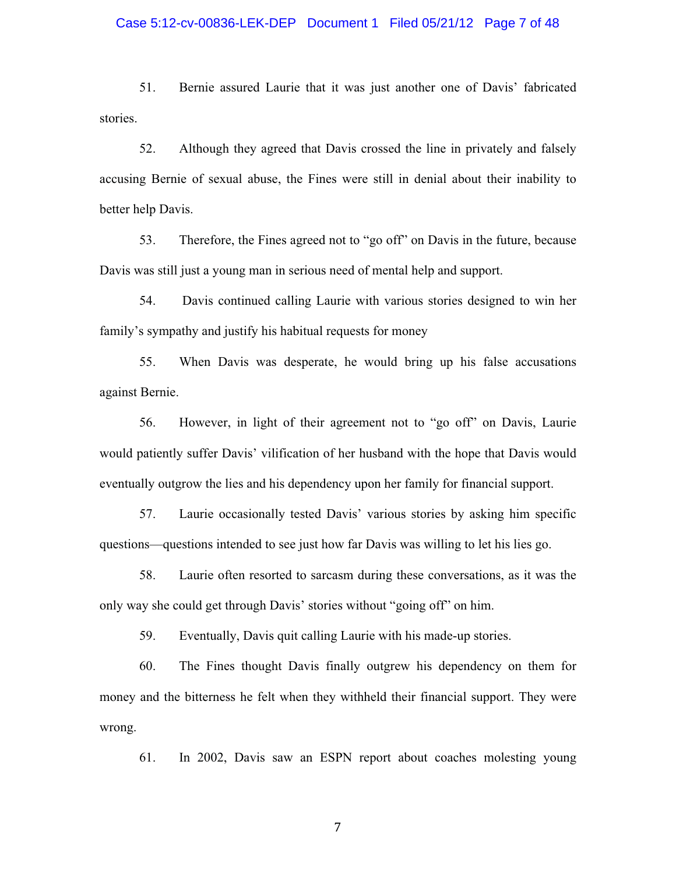# Case 5:12-cv-00836-LEK-DEP Document 1 Filed 05/21/12 Page 7 of 48

51. Bernie assured Laurie that it was just another one of Davis' fabricated stories.

52. Although they agreed that Davis crossed the line in privately and falsely accusing Bernie of sexual abuse, the Fines were still in denial about their inability to better help Davis.

53. Therefore, the Fines agreed not to "go off" on Davis in the future, because Davis was still just a young man in serious need of mental help and support.

54. Davis continued calling Laurie with various stories designed to win her family's sympathy and justify his habitual requests for money

55. When Davis was desperate, he would bring up his false accusations against Bernie.

56. However, in light of their agreement not to "go off" on Davis, Laurie would patiently suffer Davis' vilification of her husband with the hope that Davis would eventually outgrow the lies and his dependency upon her family for financial support.

57. Laurie occasionally tested Davis' various stories by asking him specific questions—questions intended to see just how far Davis was willing to let his lies go.

58. Laurie often resorted to sarcasm during these conversations, as it was the only way she could get through Davis' stories without "going off" on him.

59. Eventually, Davis quit calling Laurie with his made-up stories.

60. The Fines thought Davis finally outgrew his dependency on them for money and the bitterness he felt when they withheld their financial support. They were wrong.

61. In 2002, Davis saw an ESPN report about coaches molesting young

-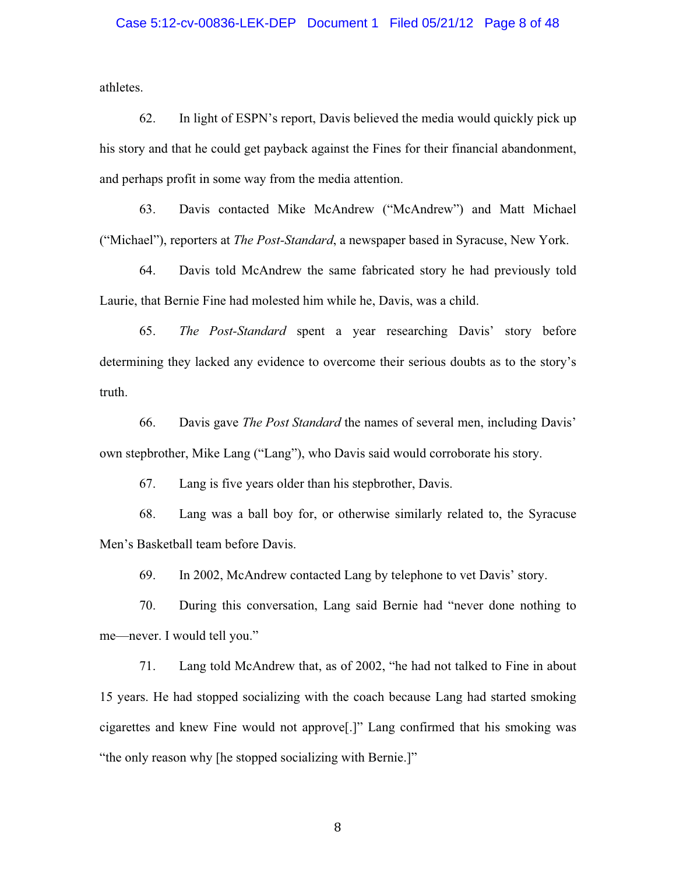# Case 5:12-cv-00836-LEK-DEP Document 1 Filed 05/21/12 Page 8 of 48

athletes.

62. In light of ESPN's report, Davis believed the media would quickly pick up his story and that he could get payback against the Fines for their financial abandonment, and perhaps profit in some way from the media attention.

63. Davis contacted Mike McAndrew ("McAndrew") and Matt Michael ("Michael"), reporters at *The Post-Standard*, a newspaper based in Syracuse, New York.

64. Davis told McAndrew the same fabricated story he had previously told Laurie, that Bernie Fine had molested him while he, Davis, was a child.

65. *The Post-Standard* spent a year researching Davis' story before determining they lacked any evidence to overcome their serious doubts as to the story's truth.

66. Davis gave *The Post Standard* the names of several men, including Davis' own stepbrother, Mike Lang ("Lang"), who Davis said would corroborate his story.

67. Lang is five years older than his stepbrother, Davis.

68. Lang was a ball boy for, or otherwise similarly related to, the Syracuse Men's Basketball team before Davis.

69. In 2002, McAndrew contacted Lang by telephone to vet Davis' story.

70. During this conversation, Lang said Bernie had "never done nothing to me—never. I would tell you."

71. Lang told McAndrew that, as of 2002, "he had not talked to Fine in about 15 years. He had stopped socializing with the coach because Lang had started smoking cigarettes and knew Fine would not approve[.]" Lang confirmed that his smoking was "the only reason why [he stopped socializing with Bernie.]"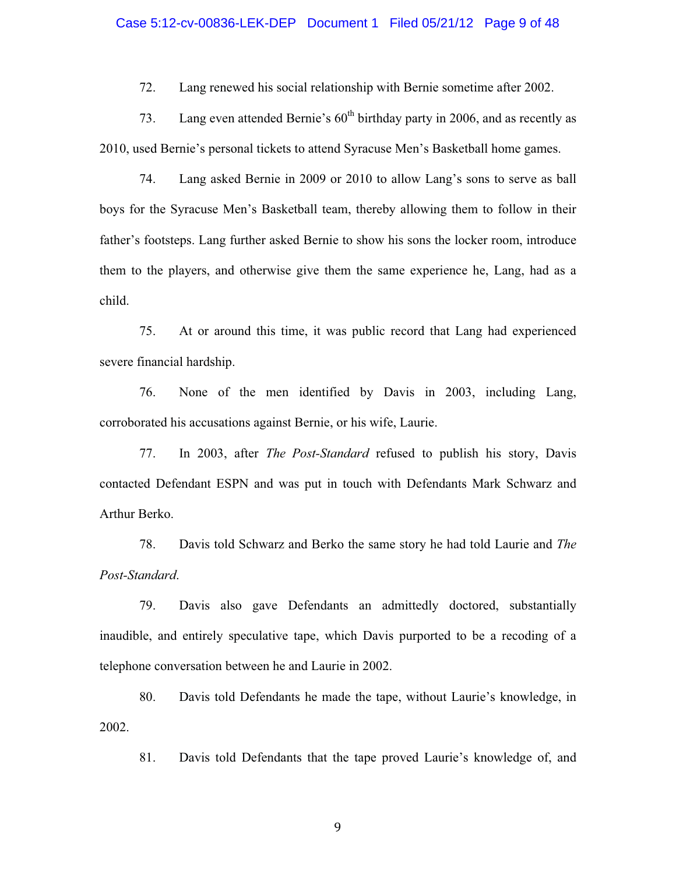# Case 5:12-cv-00836-LEK-DEP Document 1 Filed 05/21/12 Page 9 of 48

72. Lang renewed his social relationship with Bernie sometime after 2002.

73. Lang even attended Bernie's  $60<sup>th</sup>$  birthday party in 2006, and as recently as 2010, used Bernie's personal tickets to attend Syracuse Men's Basketball home games.

74. Lang asked Bernie in 2009 or 2010 to allow Lang's sons to serve as ball boys for the Syracuse Men's Basketball team, thereby allowing them to follow in their father's footsteps. Lang further asked Bernie to show his sons the locker room, introduce them to the players, and otherwise give them the same experience he, Lang, had as a child.

75. At or around this time, it was public record that Lang had experienced severe financial hardship.

76. None of the men identified by Davis in 2003, including Lang, corroborated his accusations against Bernie, or his wife, Laurie.

77. In 2003, after *The Post-Standard* refused to publish his story, Davis contacted Defendant ESPN and was put in touch with Defendants Mark Schwarz and Arthur Berko.

78. Davis told Schwarz and Berko the same story he had told Laurie and *The Post-Standard*.

79. Davis also gave Defendants an admittedly doctored, substantially inaudible, and entirely speculative tape, which Davis purported to be a recoding of a telephone conversation between he and Laurie in 2002.

80. Davis told Defendants he made the tape, without Laurie's knowledge, in 2002.

81. Davis told Defendants that the tape proved Laurie's knowledge of, and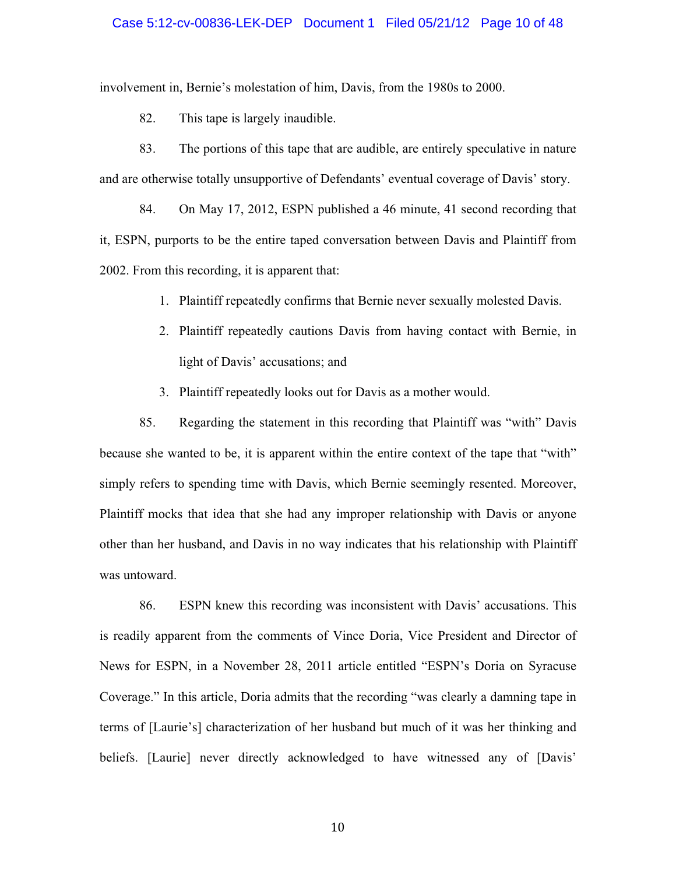#### Case 5:12-cv-00836-LEK-DEP Document 1 Filed 05/21/12 Page 10 of 48

involvement in, Bernie's molestation of him, Davis, from the 1980s to 2000.

82. This tape is largely inaudible.

83. The portions of this tape that are audible, are entirely speculative in nature and are otherwise totally unsupportive of Defendants' eventual coverage of Davis' story.

84. On May 17, 2012, ESPN published a 46 minute, 41 second recording that it, ESPN, purports to be the entire taped conversation between Davis and Plaintiff from 2002. From this recording, it is apparent that:

- 1. Plaintiff repeatedly confirms that Bernie never sexually molested Davis.
- 2. Plaintiff repeatedly cautions Davis from having contact with Bernie, in light of Davis' accusations; and
- 3. Plaintiff repeatedly looks out for Davis as a mother would.

85. Regarding the statement in this recording that Plaintiff was "with" Davis because she wanted to be, it is apparent within the entire context of the tape that "with" simply refers to spending time with Davis, which Bernie seemingly resented. Moreover, Plaintiff mocks that idea that she had any improper relationship with Davis or anyone other than her husband, and Davis in no way indicates that his relationship with Plaintiff was untoward.

86. ESPN knew this recording was inconsistent with Davis' accusations. This is readily apparent from the comments of Vince Doria, Vice President and Director of News for ESPN, in a November 28, 2011 article entitled "ESPN's Doria on Syracuse Coverage." In this article, Doria admits that the recording "was clearly a damning tape in terms of [Laurie's] characterization of her husband but much of it was her thinking and beliefs. [Laurie] never directly acknowledged to have witnessed any of [Davis'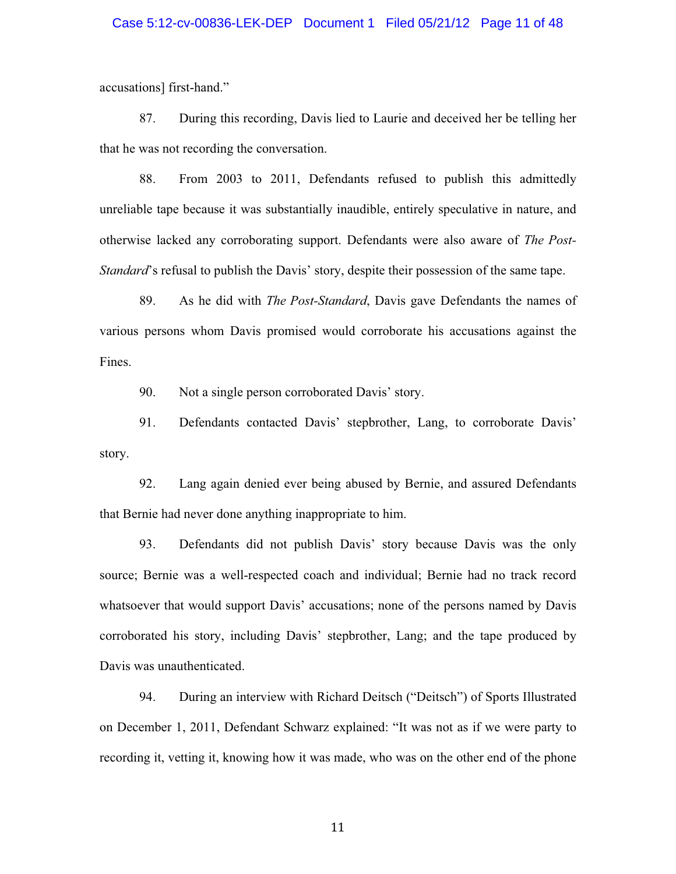#### Case 5:12-cv-00836-LEK-DEP Document 1 Filed 05/21/12 Page 11 of 48

accusations] first-hand."

87. During this recording, Davis lied to Laurie and deceived her be telling her that he was not recording the conversation.

88. From 2003 to 2011, Defendants refused to publish this admittedly unreliable tape because it was substantially inaudible, entirely speculative in nature, and otherwise lacked any corroborating support. Defendants were also aware of *The Post-Standard*'s refusal to publish the Davis' story, despite their possession of the same tape.

89. As he did with *The Post-Standard*, Davis gave Defendants the names of various persons whom Davis promised would corroborate his accusations against the Fines.

90. Not a single person corroborated Davis' story.

91. Defendants contacted Davis' stepbrother, Lang, to corroborate Davis' story.

92. Lang again denied ever being abused by Bernie, and assured Defendants that Bernie had never done anything inappropriate to him.

93. Defendants did not publish Davis' story because Davis was the only source; Bernie was a well-respected coach and individual; Bernie had no track record whatsoever that would support Davis' accusations; none of the persons named by Davis corroborated his story, including Davis' stepbrother, Lang; and the tape produced by Davis was unauthenticated.

94. During an interview with Richard Deitsch ("Deitsch") of Sports Illustrated on December 1, 2011, Defendant Schwarz explained: "It was not as if we were party to recording it, vetting it, knowing how it was made, who was on the other end of the phone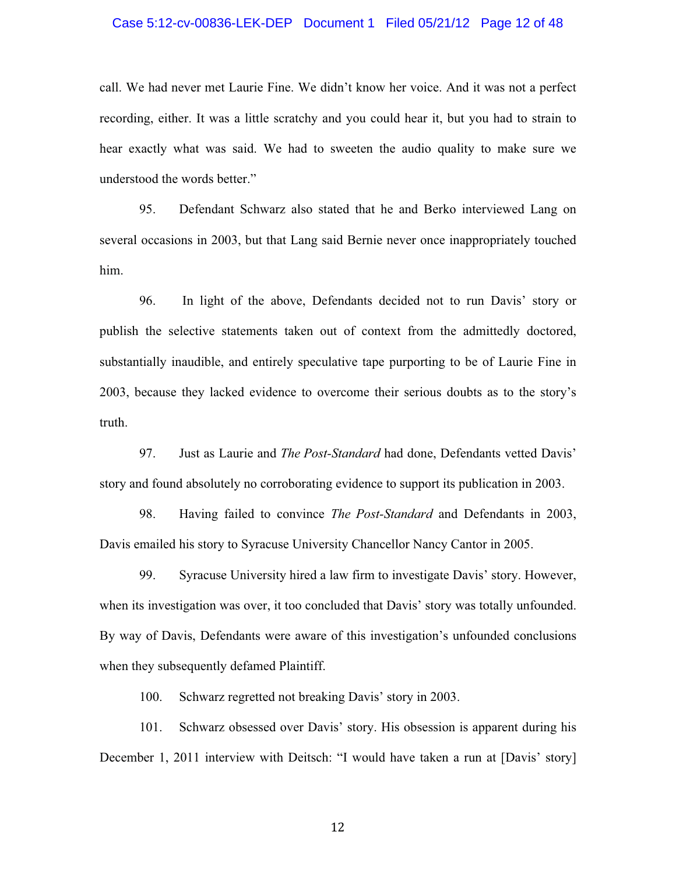#### Case 5:12-cv-00836-LEK-DEP Document 1 Filed 05/21/12 Page 12 of 48

call. We had never met Laurie Fine. We didn't know her voice. And it was not a perfect recording, either. It was a little scratchy and you could hear it, but you had to strain to hear exactly what was said. We had to sweeten the audio quality to make sure we understood the words better."

95. Defendant Schwarz also stated that he and Berko interviewed Lang on several occasions in 2003, but that Lang said Bernie never once inappropriately touched him.

96. In light of the above, Defendants decided not to run Davis' story or publish the selective statements taken out of context from the admittedly doctored, substantially inaudible, and entirely speculative tape purporting to be of Laurie Fine in 2003, because they lacked evidence to overcome their serious doubts as to the story's truth.

97. Just as Laurie and *The Post-Standard* had done, Defendants vetted Davis' story and found absolutely no corroborating evidence to support its publication in 2003.

98. Having failed to convince *The Post-Standard* and Defendants in 2003, Davis emailed his story to Syracuse University Chancellor Nancy Cantor in 2005.

99. Syracuse University hired a law firm to investigate Davis' story. However, when its investigation was over, it too concluded that Davis' story was totally unfounded. By way of Davis, Defendants were aware of this investigation's unfounded conclusions when they subsequently defamed Plaintiff.

100. Schwarz regretted not breaking Davis' story in 2003.

101. Schwarz obsessed over Davis' story. His obsession is apparent during his December 1, 2011 interview with Deitsch: "I would have taken a run at [Davis' story]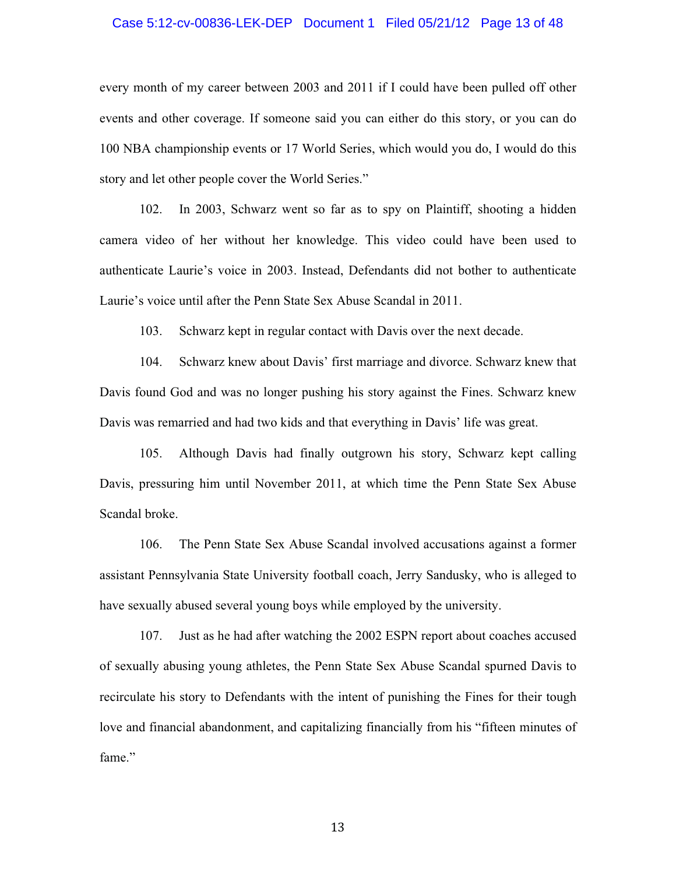#### Case 5:12-cv-00836-LEK-DEP Document 1 Filed 05/21/12 Page 13 of 48

every month of my career between 2003 and 2011 if I could have been pulled off other events and other coverage. If someone said you can either do this story, or you can do 100 NBA championship events or 17 World Series, which would you do, I would do this story and let other people cover the World Series."

102. In 2003, Schwarz went so far as to spy on Plaintiff, shooting a hidden camera video of her without her knowledge. This video could have been used to authenticate Laurie's voice in 2003. Instead, Defendants did not bother to authenticate Laurie's voice until after the Penn State Sex Abuse Scandal in 2011.

103. Schwarz kept in regular contact with Davis over the next decade.

104. Schwarz knew about Davis' first marriage and divorce. Schwarz knew that Davis found God and was no longer pushing his story against the Fines. Schwarz knew Davis was remarried and had two kids and that everything in Davis' life was great.

105. Although Davis had finally outgrown his story, Schwarz kept calling Davis, pressuring him until November 2011, at which time the Penn State Sex Abuse Scandal broke.

106. The Penn State Sex Abuse Scandal involved accusations against a former assistant Pennsylvania State University football coach, Jerry Sandusky, who is alleged to have sexually abused several young boys while employed by the university.

107. Just as he had after watching the 2002 ESPN report about coaches accused of sexually abusing young athletes, the Penn State Sex Abuse Scandal spurned Davis to recirculate his story to Defendants with the intent of punishing the Fines for their tough love and financial abandonment, and capitalizing financially from his "fifteen minutes of fame."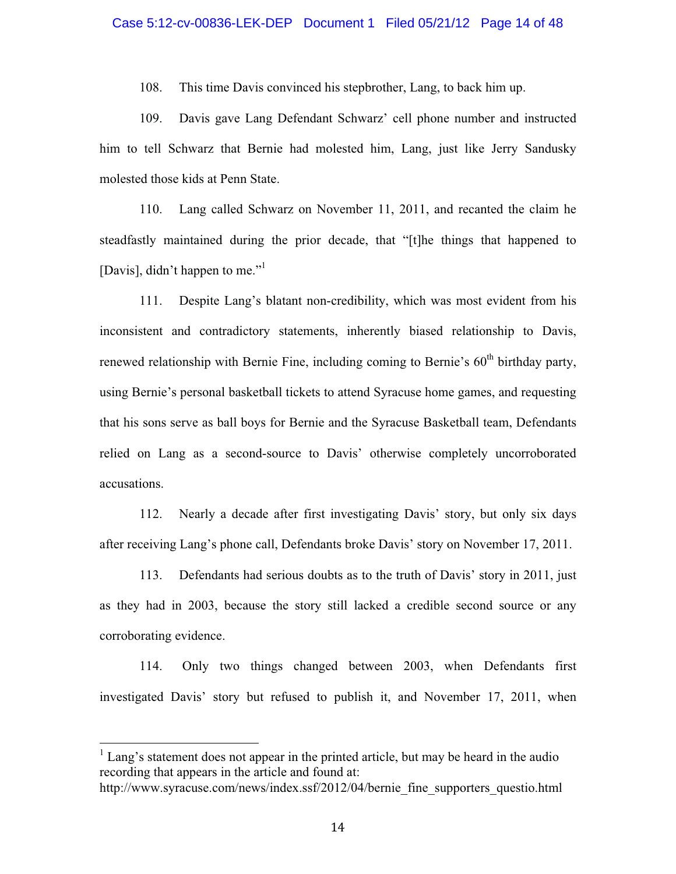# Case 5:12-cv-00836-LEK-DEP Document 1 Filed 05/21/12 Page 14 of 48

108. This time Davis convinced his stepbrother, Lang, to back him up.

109. Davis gave Lang Defendant Schwarz' cell phone number and instructed him to tell Schwarz that Bernie had molested him, Lang, just like Jerry Sandusky molested those kids at Penn State.

110. Lang called Schwarz on November 11, 2011, and recanted the claim he steadfastly maintained during the prior decade, that "[t]he things that happened to [Davis], didn't happen to me."<sup>1</sup>

111. Despite Lang's blatant non-credibility, which was most evident from his inconsistent and contradictory statements, inherently biased relationship to Davis, renewed relationship with Bernie Fine, including coming to Bernie's  $60<sup>th</sup>$  birthday party, using Bernie's personal basketball tickets to attend Syracuse home games, and requesting that his sons serve as ball boys for Bernie and the Syracuse Basketball team, Defendants relied on Lang as a second-source to Davis' otherwise completely uncorroborated accusations.

112. Nearly a decade after first investigating Davis' story, but only six days after receiving Lang's phone call, Defendants broke Davis' story on November 17, 2011.

113. Defendants had serious doubts as to the truth of Davis' story in 2011, just as they had in 2003, because the story still lacked a credible second source or any corroborating evidence.

114. Only two things changed between 2003, when Defendants first investigated Davis' story but refused to publish it, and November 17, 2011, when

-------------------------------------------------------

<sup>&</sup>lt;sup>1</sup> Lang's statement does not appear in the printed article, but may be heard in the audio recording that appears in the article and found at:

http://www.syracuse.com/news/index.ssf/2012/04/bernie\_fine\_supporters\_questio.html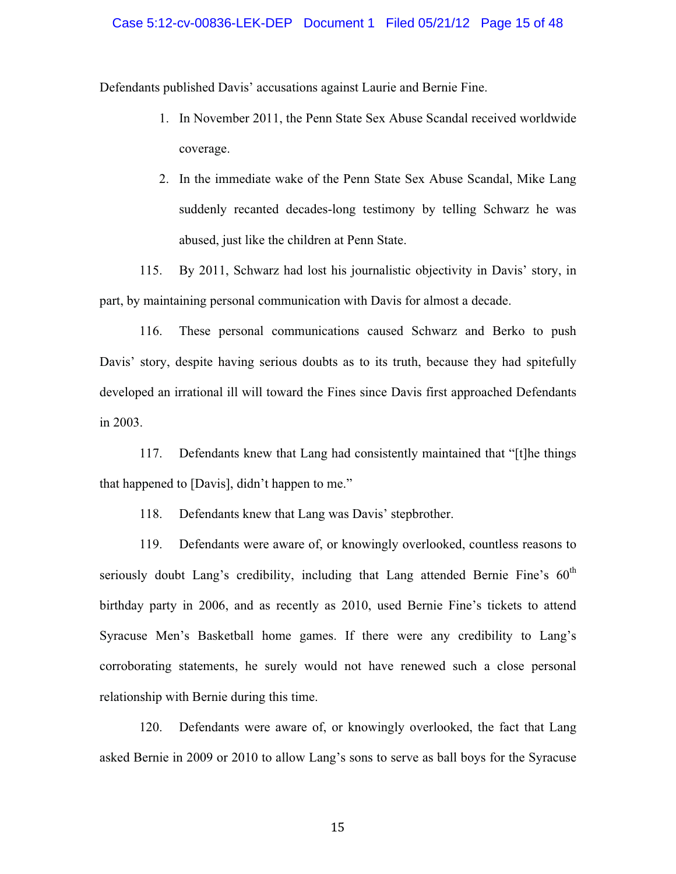#### Case 5:12-cv-00836-LEK-DEP Document 1 Filed 05/21/12 Page 15 of 48

Defendants published Davis' accusations against Laurie and Bernie Fine.

- 1. In November 2011, the Penn State Sex Abuse Scandal received worldwide coverage.
- 2. In the immediate wake of the Penn State Sex Abuse Scandal, Mike Lang suddenly recanted decades-long testimony by telling Schwarz he was abused, just like the children at Penn State.

115. By 2011, Schwarz had lost his journalistic objectivity in Davis' story, in part, by maintaining personal communication with Davis for almost a decade.

116. These personal communications caused Schwarz and Berko to push Davis' story, despite having serious doubts as to its truth, because they had spitefully developed an irrational ill will toward the Fines since Davis first approached Defendants in 2003.

117. Defendants knew that Lang had consistently maintained that "[t]he things that happened to [Davis], didn't happen to me."

118. Defendants knew that Lang was Davis' stepbrother.

119. Defendants were aware of, or knowingly overlooked, countless reasons to seriously doubt Lang's credibility, including that Lang attended Bernie Fine's  $60<sup>th</sup>$ birthday party in 2006, and as recently as 2010, used Bernie Fine's tickets to attend Syracuse Men's Basketball home games. If there were any credibility to Lang's corroborating statements, he surely would not have renewed such a close personal relationship with Bernie during this time.

120. Defendants were aware of, or knowingly overlooked, the fact that Lang asked Bernie in 2009 or 2010 to allow Lang's sons to serve as ball boys for the Syracuse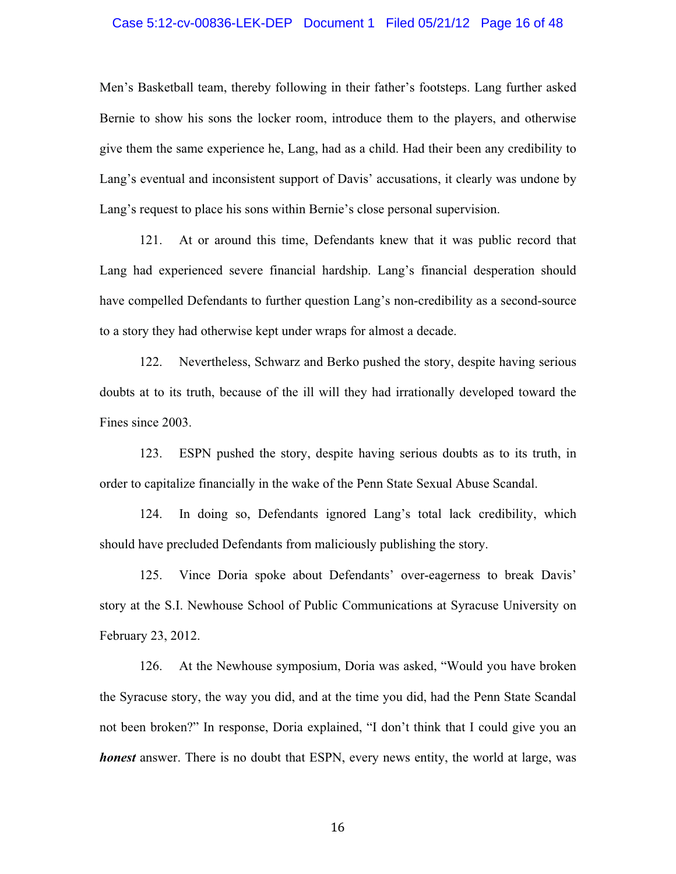#### Case 5:12-cv-00836-LEK-DEP Document 1 Filed 05/21/12 Page 16 of 48

Men's Basketball team, thereby following in their father's footsteps. Lang further asked Bernie to show his sons the locker room, introduce them to the players, and otherwise give them the same experience he, Lang, had as a child. Had their been any credibility to Lang's eventual and inconsistent support of Davis' accusations, it clearly was undone by Lang's request to place his sons within Bernie's close personal supervision.

121. At or around this time, Defendants knew that it was public record that Lang had experienced severe financial hardship. Lang's financial desperation should have compelled Defendants to further question Lang's non-credibility as a second-source to a story they had otherwise kept under wraps for almost a decade.

122. Nevertheless, Schwarz and Berko pushed the story, despite having serious doubts at to its truth, because of the ill will they had irrationally developed toward the Fines since 2003.

123. ESPN pushed the story, despite having serious doubts as to its truth, in order to capitalize financially in the wake of the Penn State Sexual Abuse Scandal.

124. In doing so, Defendants ignored Lang's total lack credibility, which should have precluded Defendants from maliciously publishing the story.

125. Vince Doria spoke about Defendants' over-eagerness to break Davis' story at the S.I. Newhouse School of Public Communications at Syracuse University on February 23, 2012.

126. At the Newhouse symposium, Doria was asked, "Would you have broken the Syracuse story, the way you did, and at the time you did, had the Penn State Scandal not been broken?" In response, Doria explained, "I don't think that I could give you an *honest* answer. There is no doubt that ESPN, every news entity, the world at large, was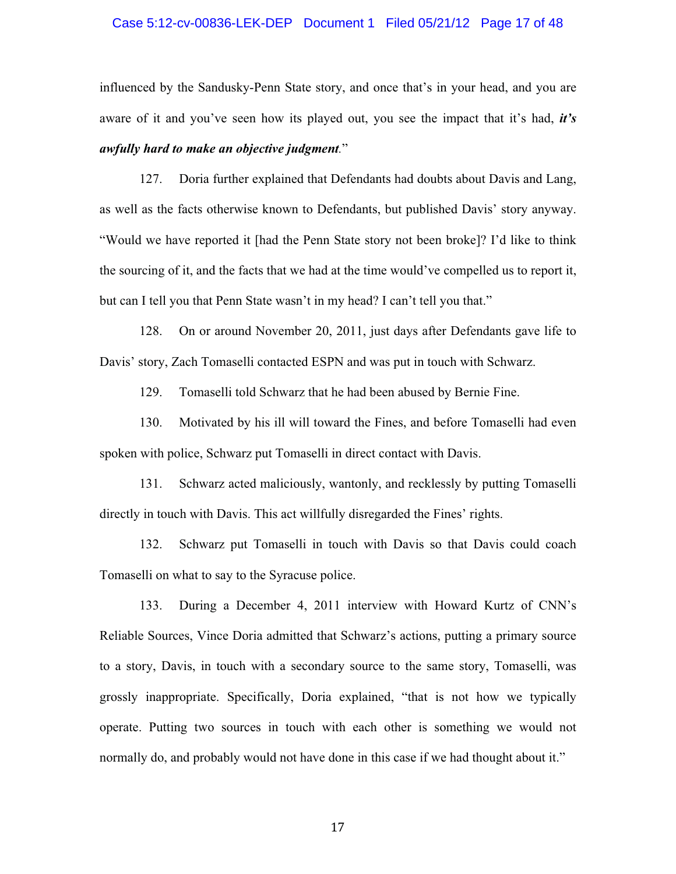#### Case 5:12-cv-00836-LEK-DEP Document 1 Filed 05/21/12 Page 17 of 48

influenced by the Sandusky-Penn State story, and once that's in your head, and you are aware of it and you've seen how its played out, you see the impact that it's had, *it's awfully hard to make an objective judgment.*"

127. Doria further explained that Defendants had doubts about Davis and Lang, as well as the facts otherwise known to Defendants, but published Davis' story anyway. "Would we have reported it [had the Penn State story not been broke]? I'd like to think the sourcing of it, and the facts that we had at the time would've compelled us to report it, but can I tell you that Penn State wasn't in my head? I can't tell you that."

128. On or around November 20, 2011, just days after Defendants gave life to Davis' story, Zach Tomaselli contacted ESPN and was put in touch with Schwarz.

129. Tomaselli told Schwarz that he had been abused by Bernie Fine.

130. Motivated by his ill will toward the Fines, and before Tomaselli had even spoken with police, Schwarz put Tomaselli in direct contact with Davis.

131. Schwarz acted maliciously, wantonly, and recklessly by putting Tomaselli directly in touch with Davis. This act willfully disregarded the Fines' rights.

132. Schwarz put Tomaselli in touch with Davis so that Davis could coach Tomaselli on what to say to the Syracuse police.

133. During a December 4, 2011 interview with Howard Kurtz of CNN's Reliable Sources, Vince Doria admitted that Schwarz's actions, putting a primary source to a story, Davis, in touch with a secondary source to the same story, Tomaselli, was grossly inappropriate. Specifically, Doria explained, "that is not how we typically operate. Putting two sources in touch with each other is something we would not normally do, and probably would not have done in this case if we had thought about it."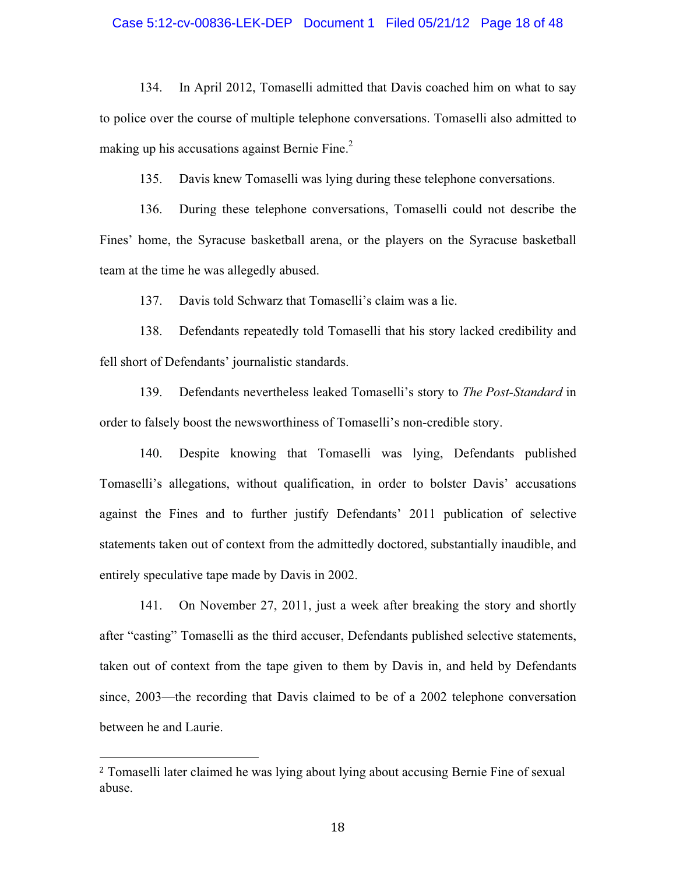#### Case 5:12-cv-00836-LEK-DEP Document 1 Filed 05/21/12 Page 18 of 48

134. In April 2012, Tomaselli admitted that Davis coached him on what to say to police over the course of multiple telephone conversations. Tomaselli also admitted to making up his accusations against Bernie Fine. $<sup>2</sup>$ </sup>

135. Davis knew Tomaselli was lying during these telephone conversations.

136. During these telephone conversations, Tomaselli could not describe the Fines' home, the Syracuse basketball arena, or the players on the Syracuse basketball team at the time he was allegedly abused.

137. Davis told Schwarz that Tomaselli's claim was a lie.

138. Defendants repeatedly told Tomaselli that his story lacked credibility and fell short of Defendants' journalistic standards.

139. Defendants nevertheless leaked Tomaselli's story to *The Post-Standard* in order to falsely boost the newsworthiness of Tomaselli's non-credible story.

140. Despite knowing that Tomaselli was lying, Defendants published Tomaselli's allegations, without qualification, in order to bolster Davis' accusations against the Fines and to further justify Defendants' 2011 publication of selective statements taken out of context from the admittedly doctored, substantially inaudible, and entirely speculative tape made by Davis in 2002.

141. On November 27, 2011, just a week after breaking the story and shortly after "casting" Tomaselli as the third accuser, Defendants published selective statements, taken out of context from the tape given to them by Davis in, and held by Defendants since, 2003—the recording that Davis claimed to be of a 2002 telephone conversation between he and Laurie.

-------------------------------------------------------

Tomaselli later claimed he was lying about lying about accusing Bernie Fine of sexual abuse.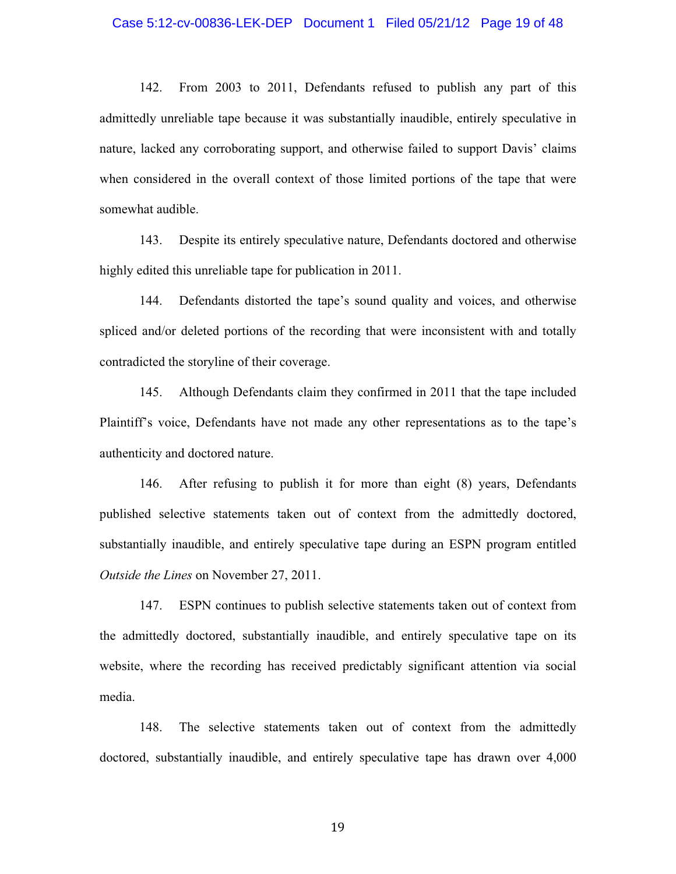#### Case 5:12-cv-00836-LEK-DEP Document 1 Filed 05/21/12 Page 19 of 48

142. From 2003 to 2011, Defendants refused to publish any part of this admittedly unreliable tape because it was substantially inaudible, entirely speculative in nature, lacked any corroborating support, and otherwise failed to support Davis' claims when considered in the overall context of those limited portions of the tape that were somewhat audible.

143. Despite its entirely speculative nature, Defendants doctored and otherwise highly edited this unreliable tape for publication in 2011.

144. Defendants distorted the tape's sound quality and voices, and otherwise spliced and/or deleted portions of the recording that were inconsistent with and totally contradicted the storyline of their coverage.

145. Although Defendants claim they confirmed in 2011 that the tape included Plaintiff's voice, Defendants have not made any other representations as to the tape's authenticity and doctored nature.

146. After refusing to publish it for more than eight (8) years, Defendants published selective statements taken out of context from the admittedly doctored, substantially inaudible, and entirely speculative tape during an ESPN program entitled *Outside the Lines* on November 27, 2011.

147. ESPN continues to publish selective statements taken out of context from the admittedly doctored, substantially inaudible, and entirely speculative tape on its website, where the recording has received predictably significant attention via social media.

148. The selective statements taken out of context from the admittedly doctored, substantially inaudible, and entirely speculative tape has drawn over 4,000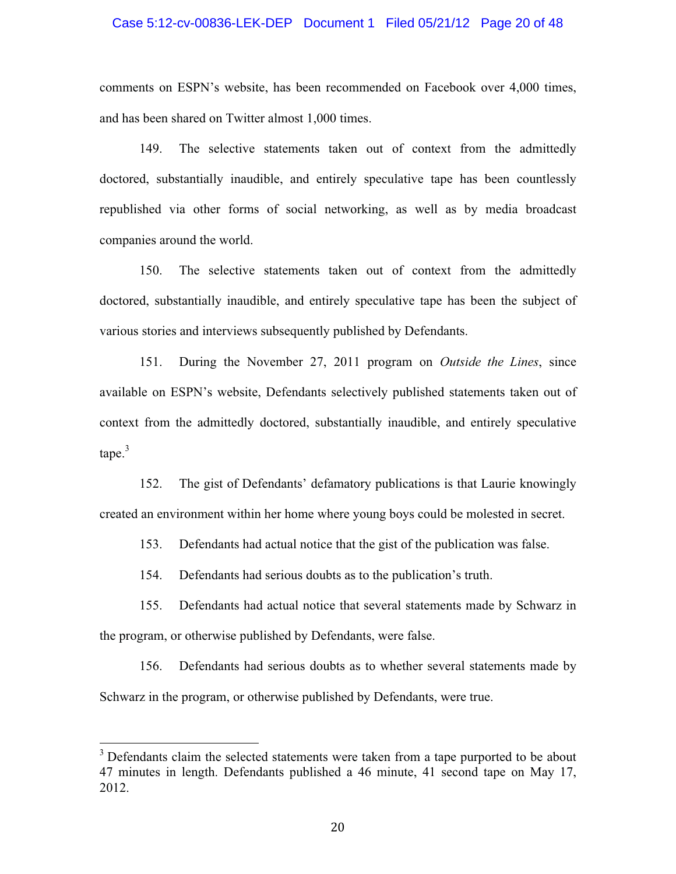#### Case 5:12-cv-00836-LEK-DEP Document 1 Filed 05/21/12 Page 20 of 48

comments on ESPN's website, has been recommended on Facebook over 4,000 times, and has been shared on Twitter almost 1,000 times.

149. The selective statements taken out of context from the admittedly doctored, substantially inaudible, and entirely speculative tape has been countlessly republished via other forms of social networking, as well as by media broadcast companies around the world.

150. The selective statements taken out of context from the admittedly doctored, substantially inaudible, and entirely speculative tape has been the subject of various stories and interviews subsequently published by Defendants.

151. During the November 27, 2011 program on *Outside the Lines*, since available on ESPN's website, Defendants selectively published statements taken out of context from the admittedly doctored, substantially inaudible, and entirely speculative  $tape.<sup>3</sup>$ 

152. The gist of Defendants' defamatory publications is that Laurie knowingly created an environment within her home where young boys could be molested in secret.

153. Defendants had actual notice that the gist of the publication was false.

154. Defendants had serious doubts as to the publication's truth.

155. Defendants had actual notice that several statements made by Schwarz in the program, or otherwise published by Defendants, were false.

156. Defendants had serious doubts as to whether several statements made by Schwarz in the program, or otherwise published by Defendants, were true.

-------------------------------------------------------

 $3$  Defendants claim the selected statements were taken from a tape purported to be about 47 minutes in length. Defendants published a 46 minute, 41 second tape on May 17, 2012.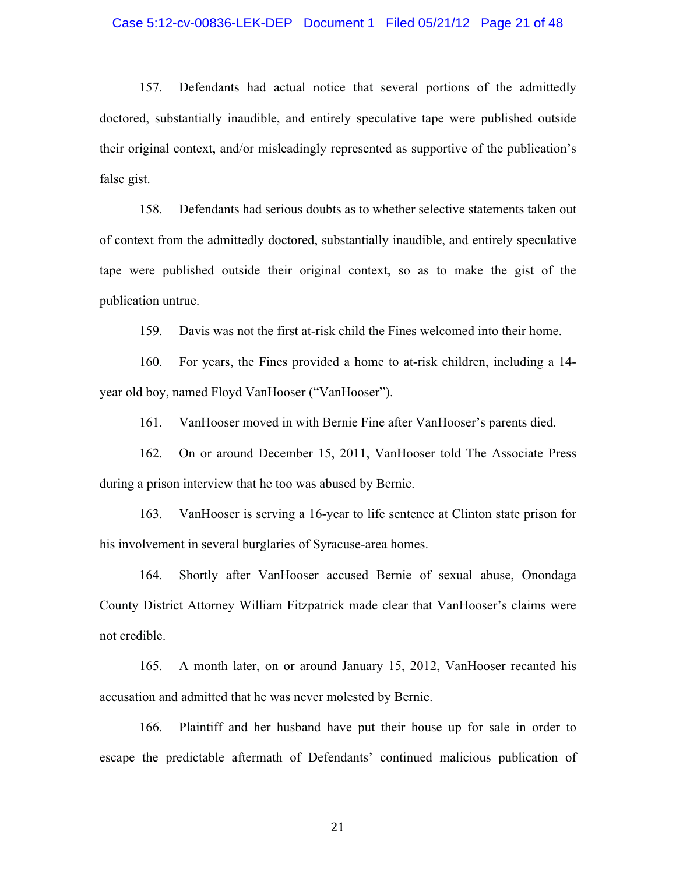#### Case 5:12-cv-00836-LEK-DEP Document 1 Filed 05/21/12 Page 21 of 48

157. Defendants had actual notice that several portions of the admittedly doctored, substantially inaudible, and entirely speculative tape were published outside their original context, and/or misleadingly represented as supportive of the publication's false gist.

158. Defendants had serious doubts as to whether selective statements taken out of context from the admittedly doctored, substantially inaudible, and entirely speculative tape were published outside their original context, so as to make the gist of the publication untrue.

159. Davis was not the first at-risk child the Fines welcomed into their home.

160. For years, the Fines provided a home to at-risk children, including a 14 year old boy, named Floyd VanHooser ("VanHooser").

161. VanHooser moved in with Bernie Fine after VanHooser's parents died.

162. On or around December 15, 2011, VanHooser told The Associate Press during a prison interview that he too was abused by Bernie.

163. VanHooser is serving a 16-year to life sentence at Clinton state prison for his involvement in several burglaries of Syracuse-area homes.

164. Shortly after VanHooser accused Bernie of sexual abuse, Onondaga County District Attorney William Fitzpatrick made clear that VanHooser's claims were not credible.

165. A month later, on or around January 15, 2012, VanHooser recanted his accusation and admitted that he was never molested by Bernie.

166. Plaintiff and her husband have put their house up for sale in order to escape the predictable aftermath of Defendants' continued malicious publication of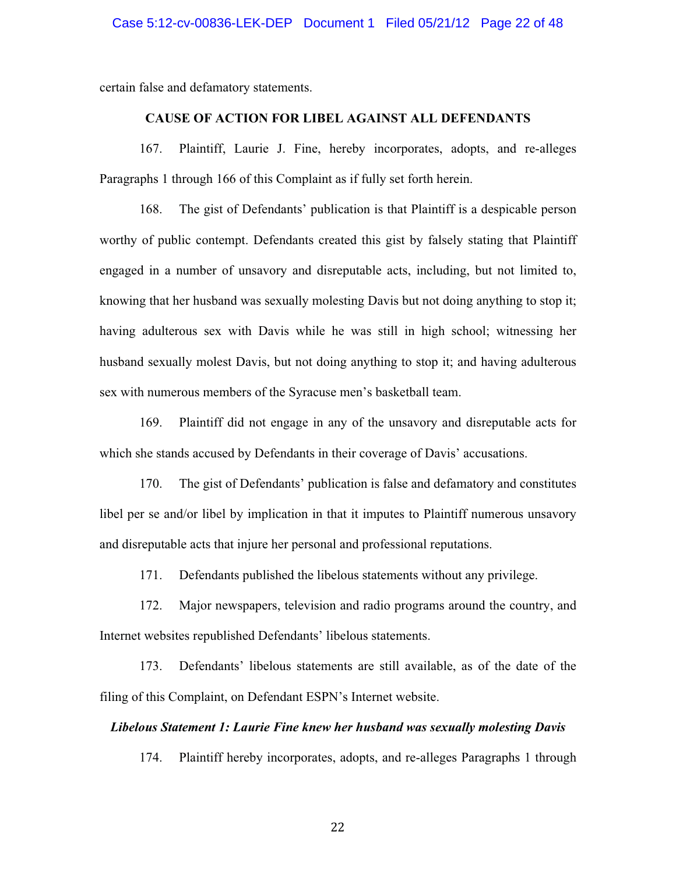certain false and defamatory statements.

### **CAUSE OF ACTION FOR LIBEL AGAINST ALL DEFENDANTS**

167. Plaintiff, Laurie J. Fine, hereby incorporates, adopts, and re-alleges Paragraphs 1 through 166 of this Complaint as if fully set forth herein.

168. The gist of Defendants' publication is that Plaintiff is a despicable person worthy of public contempt. Defendants created this gist by falsely stating that Plaintiff engaged in a number of unsavory and disreputable acts, including, but not limited to, knowing that her husband was sexually molesting Davis but not doing anything to stop it; having adulterous sex with Davis while he was still in high school; witnessing her husband sexually molest Davis, but not doing anything to stop it; and having adulterous sex with numerous members of the Syracuse men's basketball team.

169. Plaintiff did not engage in any of the unsavory and disreputable acts for which she stands accused by Defendants in their coverage of Davis' accusations.

170. The gist of Defendants' publication is false and defamatory and constitutes libel per se and/or libel by implication in that it imputes to Plaintiff numerous unsavory and disreputable acts that injure her personal and professional reputations.

171. Defendants published the libelous statements without any privilege.

172. Major newspapers, television and radio programs around the country, and Internet websites republished Defendants' libelous statements.

173. Defendants' libelous statements are still available, as of the date of the filing of this Complaint, on Defendant ESPN's Internet website.

### *Libelous Statement 1: Laurie Fine knew her husband was sexually molesting Davis*

174. Plaintiff hereby incorporates, adopts, and re-alleges Paragraphs 1 through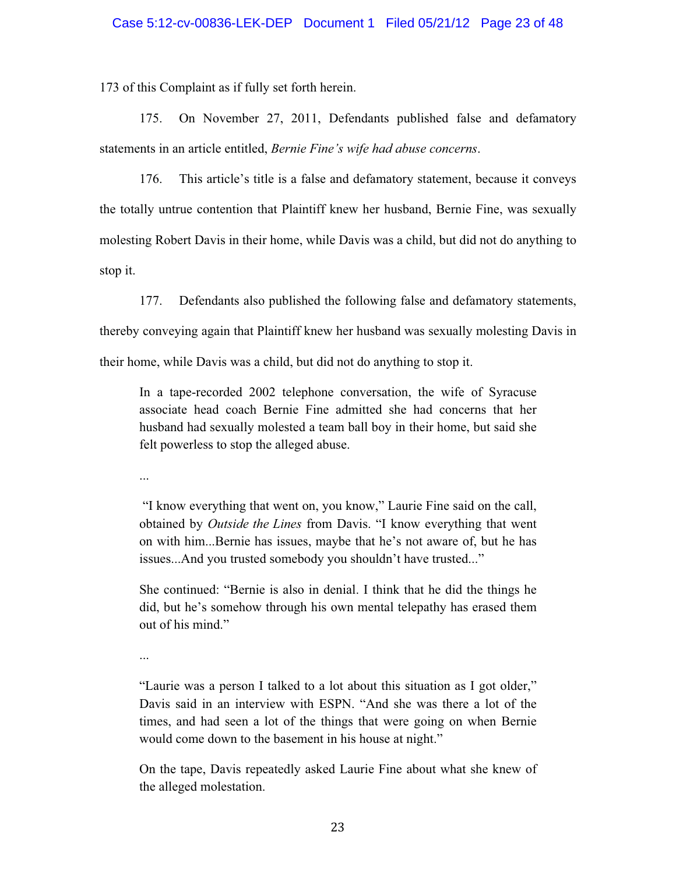173 of this Complaint as if fully set forth herein.

175. On November 27, 2011, Defendants published false and defamatory statements in an article entitled, *Bernie Fine's wife had abuse concerns*.

176. This article's title is a false and defamatory statement, because it conveys the totally untrue contention that Plaintiff knew her husband, Bernie Fine, was sexually molesting Robert Davis in their home, while Davis was a child, but did not do anything to stop it.

177. Defendants also published the following false and defamatory statements, thereby conveying again that Plaintiff knew her husband was sexually molesting Davis in their home, while Davis was a child, but did not do anything to stop it.

In a tape-recorded 2002 telephone conversation, the wife of Syracuse associate head coach Bernie Fine admitted she had concerns that her husband had sexually molested a team ball boy in their home, but said she felt powerless to stop the alleged abuse.

...

 "I know everything that went on, you know," Laurie Fine said on the call, obtained by *Outside the Lines* from Davis. "I know everything that went on with him...Bernie has issues, maybe that he's not aware of, but he has issues...And you trusted somebody you shouldn't have trusted..."

She continued: "Bernie is also in denial. I think that he did the things he did, but he's somehow through his own mental telepathy has erased them out of his mind."

...

"Laurie was a person I talked to a lot about this situation as I got older," Davis said in an interview with ESPN. "And she was there a lot of the times, and had seen a lot of the things that were going on when Bernie would come down to the basement in his house at night."

On the tape, Davis repeatedly asked Laurie Fine about what she knew of the alleged molestation.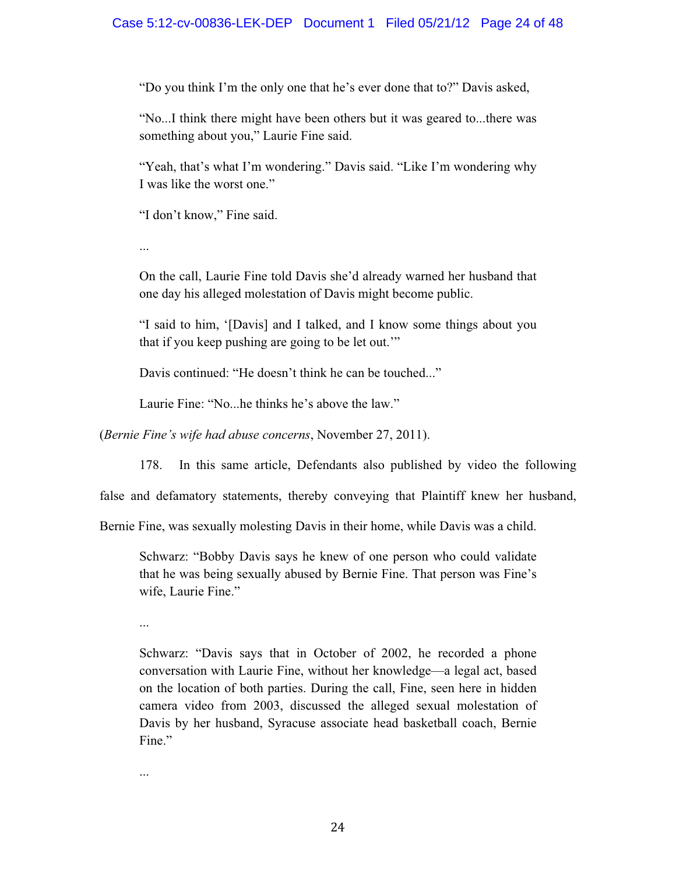## Case 5:12-cv-00836-LEK-DEP Document 1 Filed 05/21/12 Page 24 of 48

"Do you think I'm the only one that he's ever done that to?" Davis asked,

"No...I think there might have been others but it was geared to...there was something about you," Laurie Fine said.

"Yeah, that's what I'm wondering." Davis said. "Like I'm wondering why I was like the worst one."

"I don't know," Fine said.

...

On the call, Laurie Fine told Davis she'd already warned her husband that one day his alleged molestation of Davis might become public.

"I said to him, '[Davis] and I talked, and I know some things about you that if you keep pushing are going to be let out.'"

Davis continued: "He doesn't think he can be touched..."

Laurie Fine: "No...he thinks he's above the law."

(*Bernie Fine's wife had abuse concerns*, November 27, 2011).

178. In this same article, Defendants also published by video the following

false and defamatory statements, thereby conveying that Plaintiff knew her husband,

Bernie Fine, was sexually molesting Davis in their home, while Davis was a child.

Schwarz: "Bobby Davis says he knew of one person who could validate that he was being sexually abused by Bernie Fine. That person was Fine's wife, Laurie Fine."

...

Schwarz: "Davis says that in October of 2002, he recorded a phone conversation with Laurie Fine, without her knowledge—a legal act, based on the location of both parties. During the call, Fine, seen here in hidden camera video from 2003, discussed the alleged sexual molestation of Davis by her husband, Syracuse associate head basketball coach, Bernie Fine."

...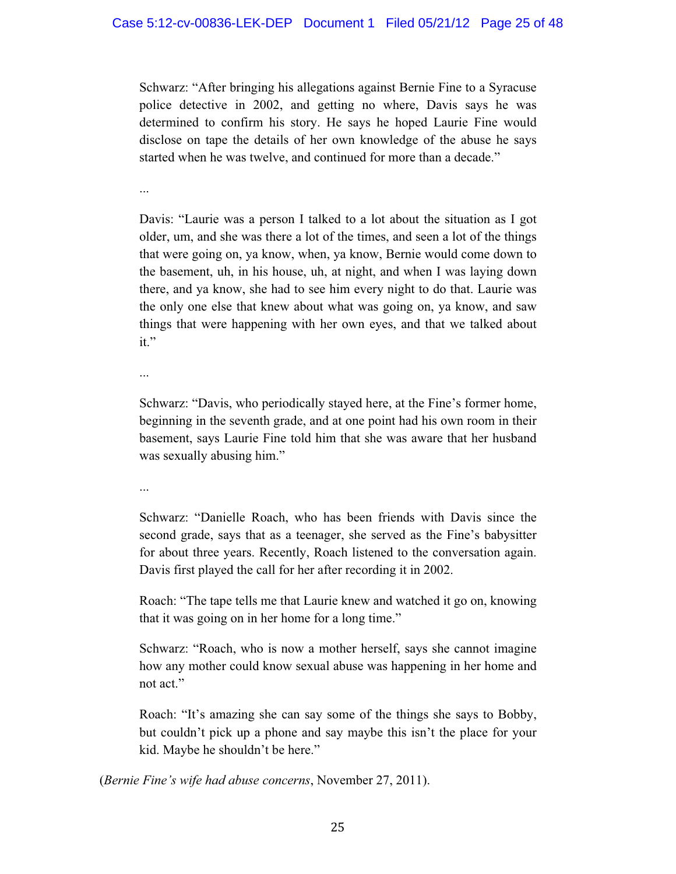Schwarz: "After bringing his allegations against Bernie Fine to a Syracuse police detective in 2002, and getting no where, Davis says he was determined to confirm his story. He says he hoped Laurie Fine would disclose on tape the details of her own knowledge of the abuse he says started when he was twelve, and continued for more than a decade."

...

Davis: "Laurie was a person I talked to a lot about the situation as I got older, um, and she was there a lot of the times, and seen a lot of the things that were going on, ya know, when, ya know, Bernie would come down to the basement, uh, in his house, uh, at night, and when I was laying down there, and ya know, she had to see him every night to do that. Laurie was the only one else that knew about what was going on, ya know, and saw things that were happening with her own eyes, and that we talked about it."

...

Schwarz: "Davis, who periodically stayed here, at the Fine's former home, beginning in the seventh grade, and at one point had his own room in their basement, says Laurie Fine told him that she was aware that her husband was sexually abusing him."

...

Schwarz: "Danielle Roach, who has been friends with Davis since the second grade, says that as a teenager, she served as the Fine's babysitter for about three years. Recently, Roach listened to the conversation again. Davis first played the call for her after recording it in 2002.

Roach: "The tape tells me that Laurie knew and watched it go on, knowing that it was going on in her home for a long time."

Schwarz: "Roach, who is now a mother herself, says she cannot imagine how any mother could know sexual abuse was happening in her home and not act."

Roach: "It's amazing she can say some of the things she says to Bobby, but couldn't pick up a phone and say maybe this isn't the place for your kid. Maybe he shouldn't be here."

(*Bernie Fine's wife had abuse concerns*, November 27, 2011).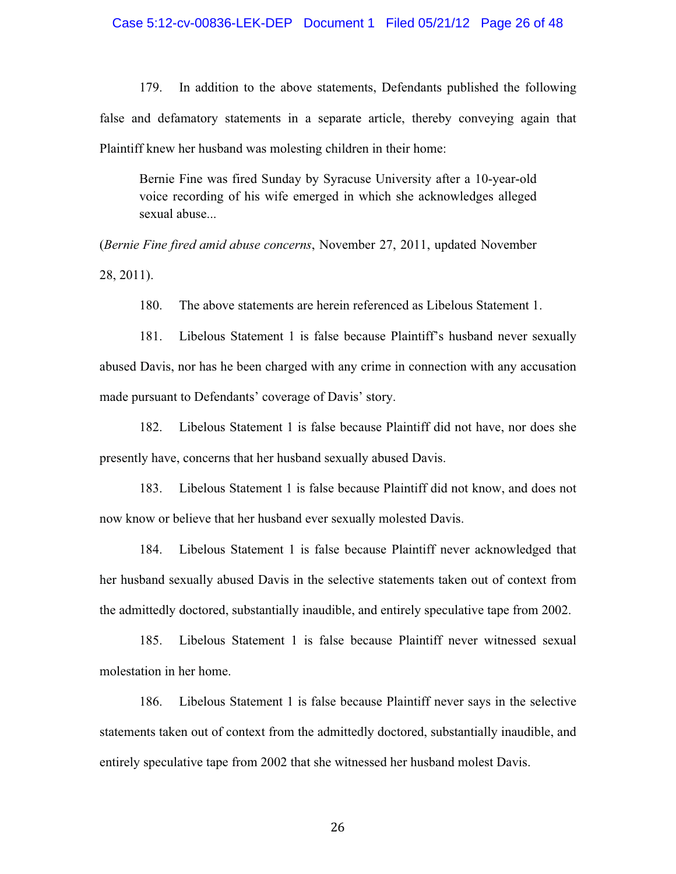#### Case 5:12-cv-00836-LEK-DEP Document 1 Filed 05/21/12 Page 26 of 48

179. In addition to the above statements, Defendants published the following false and defamatory statements in a separate article, thereby conveying again that Plaintiff knew her husband was molesting children in their home:

Bernie Fine was fired Sunday by Syracuse University after a 10-year-old voice recording of his wife emerged in which she acknowledges alleged sexual abuse...

(*Bernie Fine fired amid abuse concerns*, November 27, 2011, updated November 28, 2011).

180. The above statements are herein referenced as Libelous Statement 1.

181. Libelous Statement 1 is false because Plaintiff's husband never sexually abused Davis, nor has he been charged with any crime in connection with any accusation made pursuant to Defendants' coverage of Davis' story.

182. Libelous Statement 1 is false because Plaintiff did not have, nor does she presently have, concerns that her husband sexually abused Davis.

183. Libelous Statement 1 is false because Plaintiff did not know, and does not now know or believe that her husband ever sexually molested Davis.

184. Libelous Statement 1 is false because Plaintiff never acknowledged that her husband sexually abused Davis in the selective statements taken out of context from the admittedly doctored, substantially inaudible, and entirely speculative tape from 2002.

185. Libelous Statement 1 is false because Plaintiff never witnessed sexual molestation in her home.

186. Libelous Statement 1 is false because Plaintiff never says in the selective statements taken out of context from the admittedly doctored, substantially inaudible, and entirely speculative tape from 2002 that she witnessed her husband molest Davis.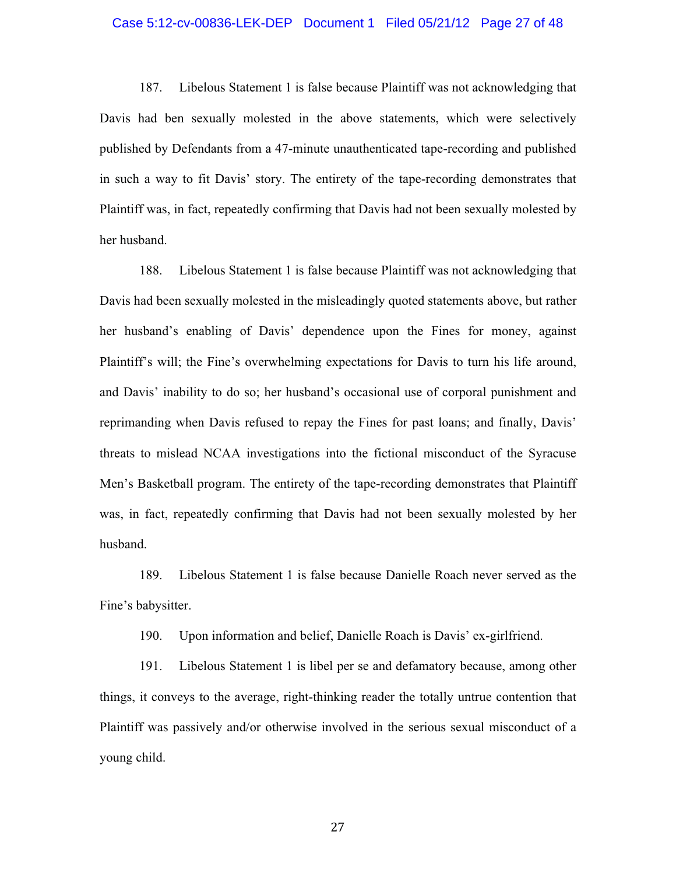#### Case 5:12-cv-00836-LEK-DEP Document 1 Filed 05/21/12 Page 27 of 48

187. Libelous Statement 1 is false because Plaintiff was not acknowledging that Davis had ben sexually molested in the above statements, which were selectively published by Defendants from a 47-minute unauthenticated tape-recording and published in such a way to fit Davis' story. The entirety of the tape-recording demonstrates that Plaintiff was, in fact, repeatedly confirming that Davis had not been sexually molested by her husband.

188. Libelous Statement 1 is false because Plaintiff was not acknowledging that Davis had been sexually molested in the misleadingly quoted statements above, but rather her husband's enabling of Davis' dependence upon the Fines for money, against Plaintiff's will; the Fine's overwhelming expectations for Davis to turn his life around, and Davis' inability to do so; her husband's occasional use of corporal punishment and reprimanding when Davis refused to repay the Fines for past loans; and finally, Davis' threats to mislead NCAA investigations into the fictional misconduct of the Syracuse Men's Basketball program. The entirety of the tape-recording demonstrates that Plaintiff was, in fact, repeatedly confirming that Davis had not been sexually molested by her husband.

189. Libelous Statement 1 is false because Danielle Roach never served as the Fine's babysitter.

190. Upon information and belief, Danielle Roach is Davis' ex-girlfriend.

191. Libelous Statement 1 is libel per se and defamatory because, among other things, it conveys to the average, right-thinking reader the totally untrue contention that Plaintiff was passively and/or otherwise involved in the serious sexual misconduct of a young child.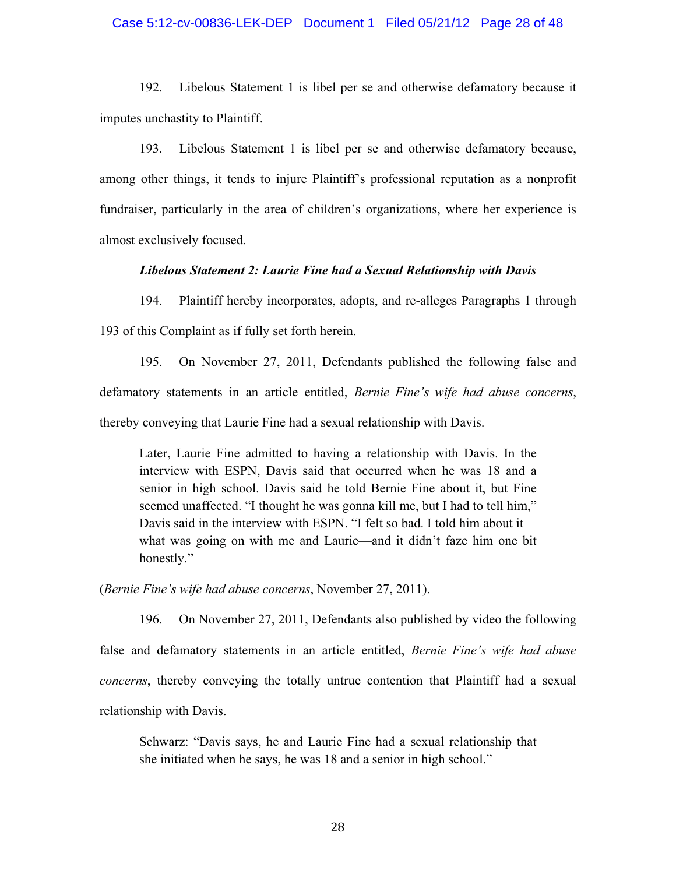#### Case 5:12-cv-00836-LEK-DEP Document 1 Filed 05/21/12 Page 28 of 48

192. Libelous Statement 1 is libel per se and otherwise defamatory because it imputes unchastity to Plaintiff.

193. Libelous Statement 1 is libel per se and otherwise defamatory because, among other things, it tends to injure Plaintiff's professional reputation as a nonprofit fundraiser, particularly in the area of children's organizations, where her experience is almost exclusively focused.

#### *Libelous Statement 2: Laurie Fine had a Sexual Relationship with Davis*

194. Plaintiff hereby incorporates, adopts, and re-alleges Paragraphs 1 through 193 of this Complaint as if fully set forth herein.

195. On November 27, 2011, Defendants published the following false and defamatory statements in an article entitled, *Bernie Fine's wife had abuse concerns*, thereby conveying that Laurie Fine had a sexual relationship with Davis.

Later, Laurie Fine admitted to having a relationship with Davis. In the interview with ESPN, Davis said that occurred when he was 18 and a senior in high school. Davis said he told Bernie Fine about it, but Fine seemed unaffected. "I thought he was gonna kill me, but I had to tell him," Davis said in the interview with ESPN. "I felt so bad. I told him about it what was going on with me and Laurie—and it didn't faze him one bit honestly."

(*Bernie Fine's wife had abuse concerns*, November 27, 2011).

196. On November 27, 2011, Defendants also published by video the following false and defamatory statements in an article entitled, *Bernie Fine's wife had abuse concerns*, thereby conveying the totally untrue contention that Plaintiff had a sexual relationship with Davis.

Schwarz: "Davis says, he and Laurie Fine had a sexual relationship that she initiated when he says, he was 18 and a senior in high school."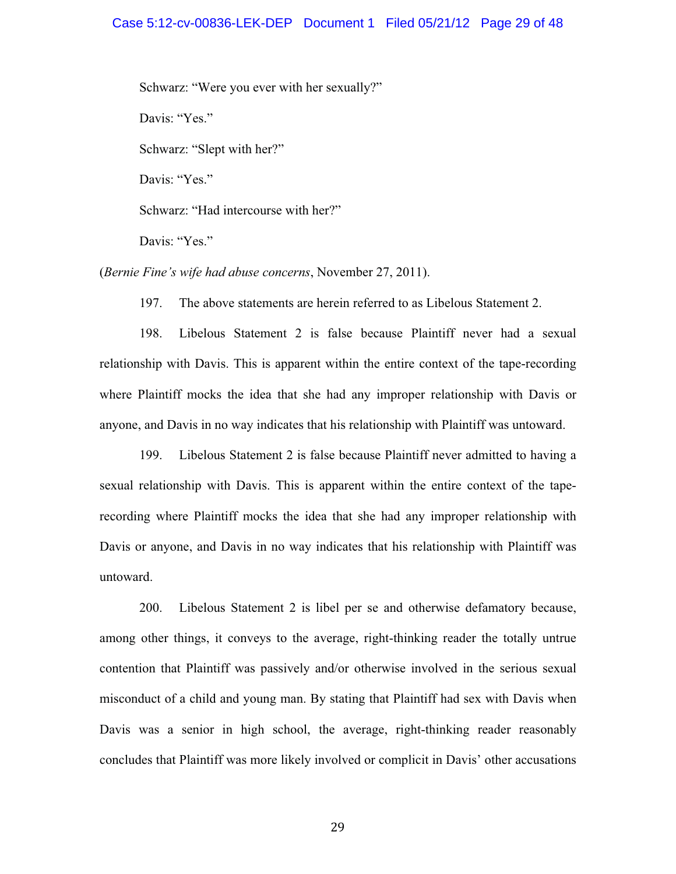#### Case 5:12-cv-00836-LEK-DEP Document 1 Filed 05/21/12 Page 29 of 48

Schwarz: "Were you ever with her sexually?"

Davis: "Yes."

Schwarz: "Slept with her?"

Davis: "Yes."

Schwarz: "Had intercourse with her?"

Davis: "Yes."

(*Bernie Fine's wife had abuse concerns*, November 27, 2011).

197. The above statements are herein referred to as Libelous Statement 2.

198. Libelous Statement 2 is false because Plaintiff never had a sexual relationship with Davis. This is apparent within the entire context of the tape-recording where Plaintiff mocks the idea that she had any improper relationship with Davis or anyone, and Davis in no way indicates that his relationship with Plaintiff was untoward.

199. Libelous Statement 2 is false because Plaintiff never admitted to having a sexual relationship with Davis. This is apparent within the entire context of the taperecording where Plaintiff mocks the idea that she had any improper relationship with Davis or anyone, and Davis in no way indicates that his relationship with Plaintiff was untoward.

200. Libelous Statement 2 is libel per se and otherwise defamatory because, among other things, it conveys to the average, right-thinking reader the totally untrue contention that Plaintiff was passively and/or otherwise involved in the serious sexual misconduct of a child and young man. By stating that Plaintiff had sex with Davis when Davis was a senior in high school, the average, right-thinking reader reasonably concludes that Plaintiff was more likely involved or complicit in Davis' other accusations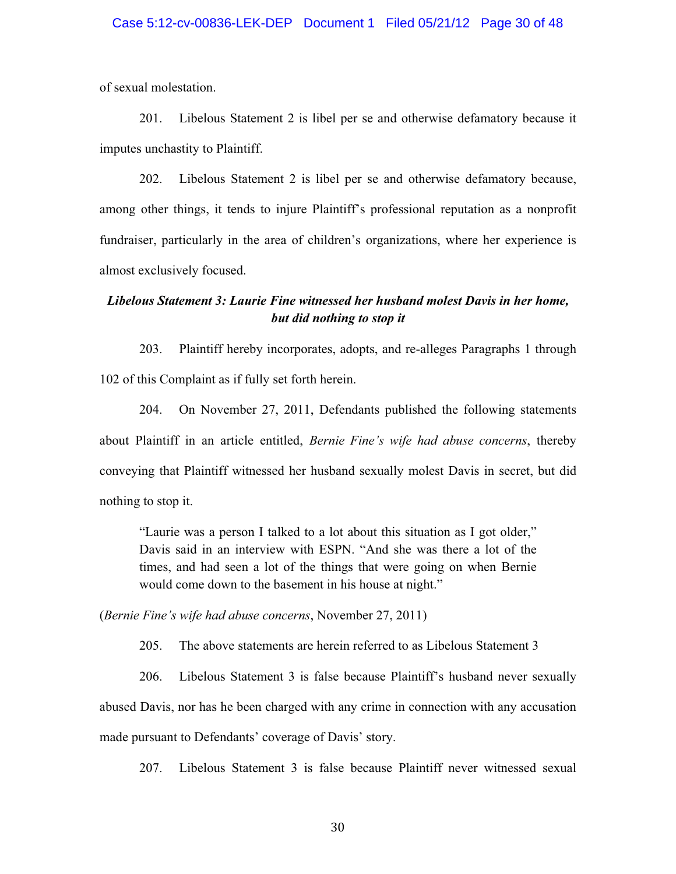### Case 5:12-cv-00836-LEK-DEP Document 1 Filed 05/21/12 Page 30 of 48

of sexual molestation.

201. Libelous Statement 2 is libel per se and otherwise defamatory because it imputes unchastity to Plaintiff.

202. Libelous Statement 2 is libel per se and otherwise defamatory because, among other things, it tends to injure Plaintiff's professional reputation as a nonprofit fundraiser, particularly in the area of children's organizations, where her experience is almost exclusively focused.

## *Libelous Statement 3: Laurie Fine witnessed her husband molest Davis in her home, but did nothing to stop it*

203. Plaintiff hereby incorporates, adopts, and re-alleges Paragraphs 1 through 102 of this Complaint as if fully set forth herein.

204. On November 27, 2011, Defendants published the following statements about Plaintiff in an article entitled, *Bernie Fine's wife had abuse concerns*, thereby conveying that Plaintiff witnessed her husband sexually molest Davis in secret, but did nothing to stop it.

"Laurie was a person I talked to a lot about this situation as I got older," Davis said in an interview with ESPN. "And she was there a lot of the times, and had seen a lot of the things that were going on when Bernie would come down to the basement in his house at night."

(*Bernie Fine's wife had abuse concerns*, November 27, 2011)

205. The above statements are herein referred to as Libelous Statement 3

206. Libelous Statement 3 is false because Plaintiff's husband never sexually abused Davis, nor has he been charged with any crime in connection with any accusation made pursuant to Defendants' coverage of Davis' story.

207. Libelous Statement 3 is false because Plaintiff never witnessed sexual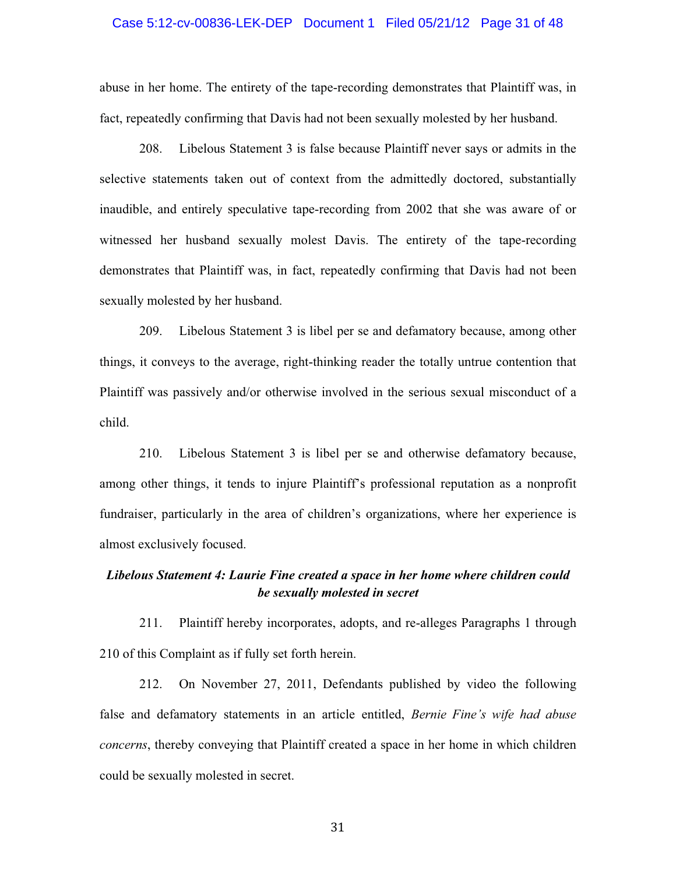#### Case 5:12-cv-00836-LEK-DEP Document 1 Filed 05/21/12 Page 31 of 48

abuse in her home. The entirety of the tape-recording demonstrates that Plaintiff was, in fact, repeatedly confirming that Davis had not been sexually molested by her husband.

208. Libelous Statement 3 is false because Plaintiff never says or admits in the selective statements taken out of context from the admittedly doctored, substantially inaudible, and entirely speculative tape-recording from 2002 that she was aware of or witnessed her husband sexually molest Davis. The entirety of the tape-recording demonstrates that Plaintiff was, in fact, repeatedly confirming that Davis had not been sexually molested by her husband.

209. Libelous Statement 3 is libel per se and defamatory because, among other things, it conveys to the average, right-thinking reader the totally untrue contention that Plaintiff was passively and/or otherwise involved in the serious sexual misconduct of a child.

210. Libelous Statement 3 is libel per se and otherwise defamatory because, among other things, it tends to injure Plaintiff's professional reputation as a nonprofit fundraiser, particularly in the area of children's organizations, where her experience is almost exclusively focused.

## *Libelous Statement 4: Laurie Fine created a space in her home where children could be sexually molested in secret*

211. Plaintiff hereby incorporates, adopts, and re-alleges Paragraphs 1 through 210 of this Complaint as if fully set forth herein.

212. On November 27, 2011, Defendants published by video the following false and defamatory statements in an article entitled, *Bernie Fine's wife had abuse concerns*, thereby conveying that Plaintiff created a space in her home in which children could be sexually molested in secret.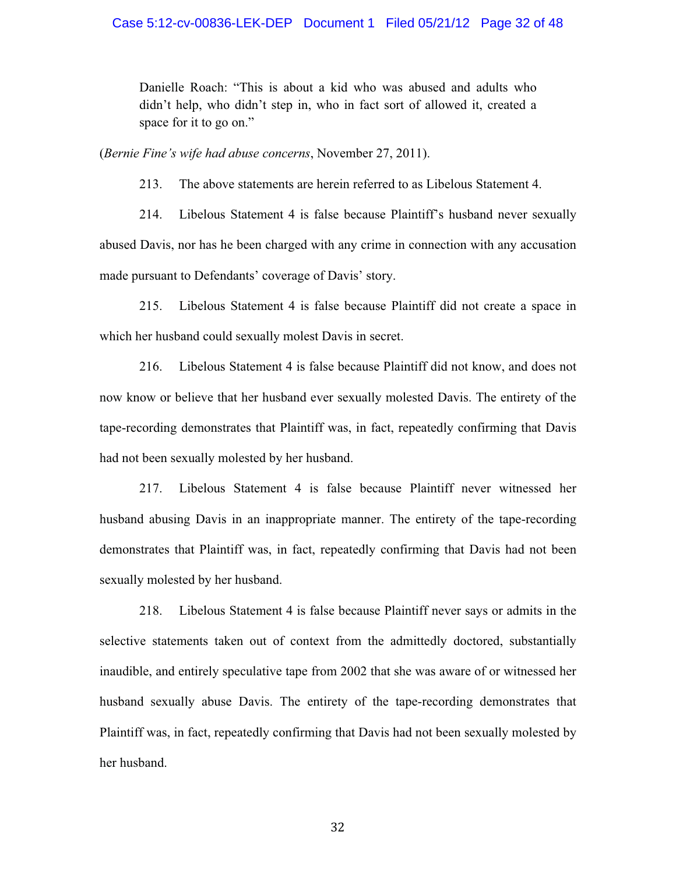Danielle Roach: "This is about a kid who was abused and adults who didn't help, who didn't step in, who in fact sort of allowed it, created a space for it to go on."

(*Bernie Fine's wife had abuse concerns*, November 27, 2011).

213. The above statements are herein referred to as Libelous Statement 4.

214. Libelous Statement 4 is false because Plaintiff's husband never sexually abused Davis, nor has he been charged with any crime in connection with any accusation made pursuant to Defendants' coverage of Davis' story.

215. Libelous Statement 4 is false because Plaintiff did not create a space in which her husband could sexually molest Davis in secret.

216. Libelous Statement 4 is false because Plaintiff did not know, and does not now know or believe that her husband ever sexually molested Davis. The entirety of the tape-recording demonstrates that Plaintiff was, in fact, repeatedly confirming that Davis had not been sexually molested by her husband.

217. Libelous Statement 4 is false because Plaintiff never witnessed her husband abusing Davis in an inappropriate manner. The entirety of the tape-recording demonstrates that Plaintiff was, in fact, repeatedly confirming that Davis had not been sexually molested by her husband.

218. Libelous Statement 4 is false because Plaintiff never says or admits in the selective statements taken out of context from the admittedly doctored, substantially inaudible, and entirely speculative tape from 2002 that she was aware of or witnessed her husband sexually abuse Davis. The entirety of the tape-recording demonstrates that Plaintiff was, in fact, repeatedly confirming that Davis had not been sexually molested by her husband.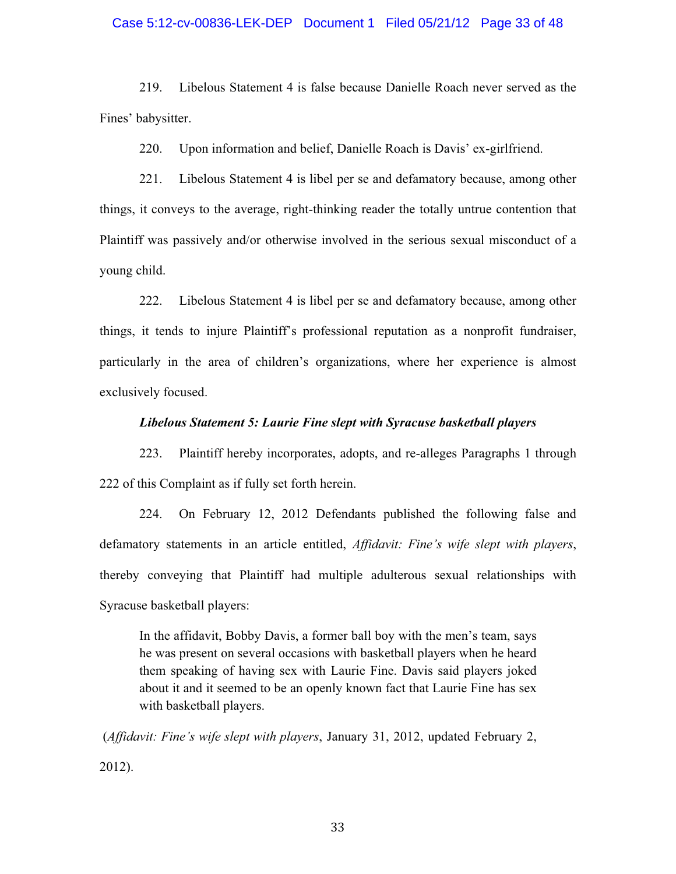#### Case 5:12-cv-00836-LEK-DEP Document 1 Filed 05/21/12 Page 33 of 48

219. Libelous Statement 4 is false because Danielle Roach never served as the Fines' babysitter.

220. Upon information and belief, Danielle Roach is Davis' ex-girlfriend.

221. Libelous Statement 4 is libel per se and defamatory because, among other things, it conveys to the average, right-thinking reader the totally untrue contention that Plaintiff was passively and/or otherwise involved in the serious sexual misconduct of a young child.

222. Libelous Statement 4 is libel per se and defamatory because, among other things, it tends to injure Plaintiff's professional reputation as a nonprofit fundraiser, particularly in the area of children's organizations, where her experience is almost exclusively focused.

### *Libelous Statement 5: Laurie Fine slept with Syracuse basketball players*

223. Plaintiff hereby incorporates, adopts, and re-alleges Paragraphs 1 through 222 of this Complaint as if fully set forth herein.

224. On February 12, 2012 Defendants published the following false and defamatory statements in an article entitled, *Affidavit: Fine's wife slept with players*, thereby conveying that Plaintiff had multiple adulterous sexual relationships with Syracuse basketball players:

In the affidavit, Bobby Davis, a former ball boy with the men's team, says he was present on several occasions with basketball players when he heard them speaking of having sex with Laurie Fine. Davis said players joked about it and it seemed to be an openly known fact that Laurie Fine has sex with basketball players.

 (*Affidavit: Fine's wife slept with players*, January 31, 2012, updated February 2, 2012).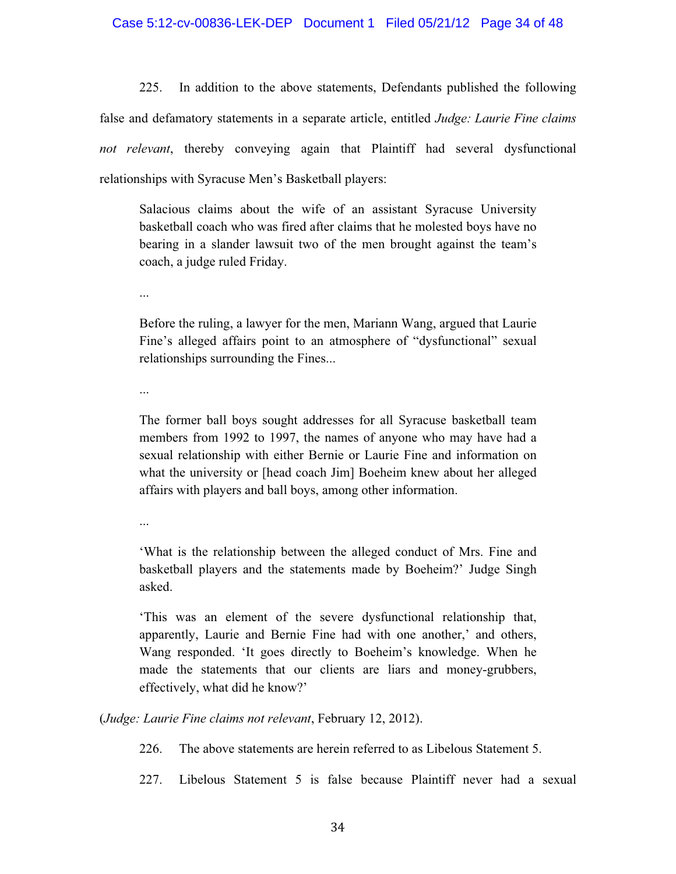## Case 5:12-cv-00836-LEK-DEP Document 1 Filed 05/21/12 Page 34 of 48

225. In addition to the above statements, Defendants published the following false and defamatory statements in a separate article, entitled *Judge: Laurie Fine claims not relevant*, thereby conveying again that Plaintiff had several dysfunctional relationships with Syracuse Men's Basketball players:

Salacious claims about the wife of an assistant Syracuse University basketball coach who was fired after claims that he molested boys have no bearing in a slander lawsuit two of the men brought against the team's coach, a judge ruled Friday.

...

Before the ruling, a lawyer for the men, Mariann Wang, argued that Laurie Fine's alleged affairs point to an atmosphere of "dysfunctional" sexual relationships surrounding the Fines...

...

The former ball boys sought addresses for all Syracuse basketball team members from 1992 to 1997, the names of anyone who may have had a sexual relationship with either Bernie or Laurie Fine and information on what the university or [head coach Jim] Boeheim knew about her alleged affairs with players and ball boys, among other information.

...

'What is the relationship between the alleged conduct of Mrs. Fine and basketball players and the statements made by Boeheim?' Judge Singh asked.

'This was an element of the severe dysfunctional relationship that, apparently, Laurie and Bernie Fine had with one another,' and others, Wang responded. 'It goes directly to Boeheim's knowledge. When he made the statements that our clients are liars and money-grubbers, effectively, what did he know?'

(*Judge: Laurie Fine claims not relevant*, February 12, 2012).

226. The above statements are herein referred to as Libelous Statement 5.

227. Libelous Statement 5 is false because Plaintiff never had a sexual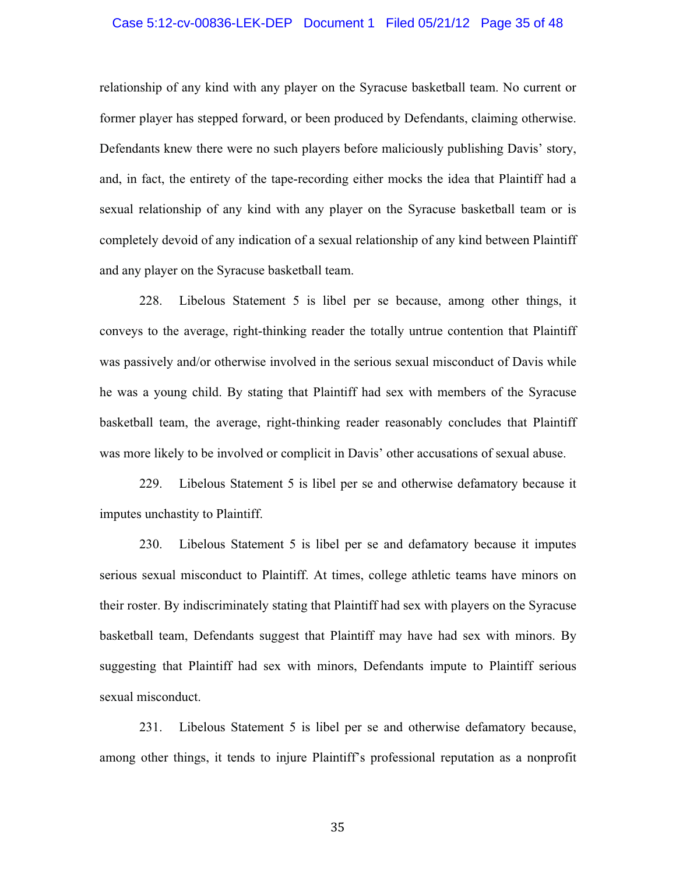#### Case 5:12-cv-00836-LEK-DEP Document 1 Filed 05/21/12 Page 35 of 48

relationship of any kind with any player on the Syracuse basketball team. No current or former player has stepped forward, or been produced by Defendants, claiming otherwise. Defendants knew there were no such players before maliciously publishing Davis' story, and, in fact, the entirety of the tape-recording either mocks the idea that Plaintiff had a sexual relationship of any kind with any player on the Syracuse basketball team or is completely devoid of any indication of a sexual relationship of any kind between Plaintiff and any player on the Syracuse basketball team.

228. Libelous Statement 5 is libel per se because, among other things, it conveys to the average, right-thinking reader the totally untrue contention that Plaintiff was passively and/or otherwise involved in the serious sexual misconduct of Davis while he was a young child. By stating that Plaintiff had sex with members of the Syracuse basketball team, the average, right-thinking reader reasonably concludes that Plaintiff was more likely to be involved or complicit in Davis' other accusations of sexual abuse.

229. Libelous Statement 5 is libel per se and otherwise defamatory because it imputes unchastity to Plaintiff.

230. Libelous Statement 5 is libel per se and defamatory because it imputes serious sexual misconduct to Plaintiff. At times, college athletic teams have minors on their roster. By indiscriminately stating that Plaintiff had sex with players on the Syracuse basketball team, Defendants suggest that Plaintiff may have had sex with minors. By suggesting that Plaintiff had sex with minors, Defendants impute to Plaintiff serious sexual misconduct.

231. Libelous Statement 5 is libel per se and otherwise defamatory because, among other things, it tends to injure Plaintiff's professional reputation as a nonprofit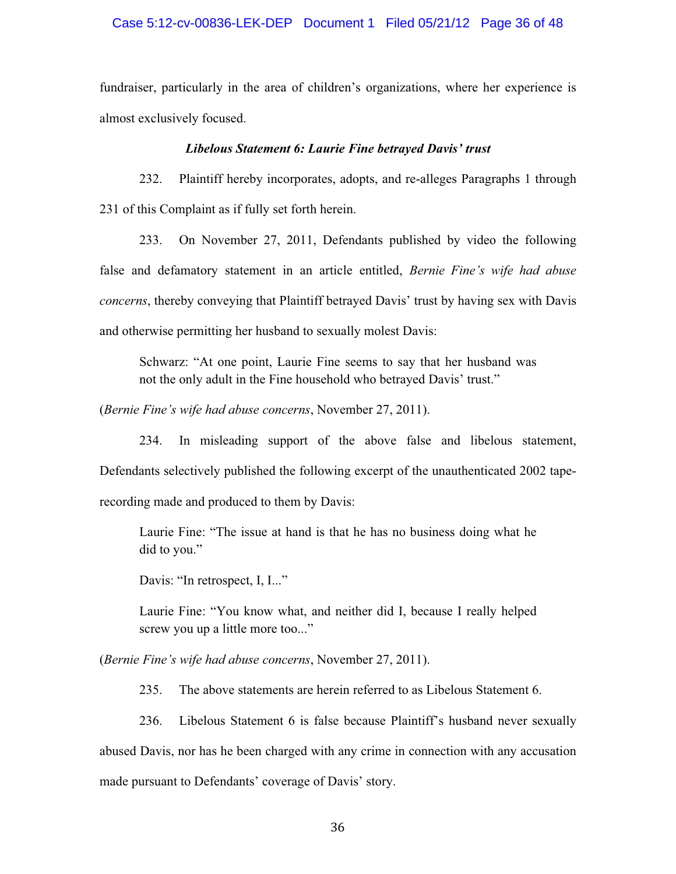#### Case 5:12-cv-00836-LEK-DEP Document 1 Filed 05/21/12 Page 36 of 48

fundraiser, particularly in the area of children's organizations, where her experience is almost exclusively focused.

#### *Libelous Statement 6: Laurie Fine betrayed Davis' trust*

232. Plaintiff hereby incorporates, adopts, and re-alleges Paragraphs 1 through 231 of this Complaint as if fully set forth herein.

233. On November 27, 2011, Defendants published by video the following false and defamatory statement in an article entitled, *Bernie Fine's wife had abuse concerns*, thereby conveying that Plaintiff betrayed Davis' trust by having sex with Davis and otherwise permitting her husband to sexually molest Davis:

Schwarz: "At one point, Laurie Fine seems to say that her husband was not the only adult in the Fine household who betrayed Davis' trust."

(*Bernie Fine's wife had abuse concerns*, November 27, 2011).

234. In misleading support of the above false and libelous statement, Defendants selectively published the following excerpt of the unauthenticated 2002 taperecording made and produced to them by Davis:

Laurie Fine: "The issue at hand is that he has no business doing what he did to you."

Davis: "In retrospect, I, I..."

Laurie Fine: "You know what, and neither did I, because I really helped screw you up a little more too..."

(*Bernie Fine's wife had abuse concerns*, November 27, 2011).

235. The above statements are herein referred to as Libelous Statement 6.

236. Libelous Statement 6 is false because Plaintiff's husband never sexually

abused Davis, nor has he been charged with any crime in connection with any accusation

made pursuant to Defendants' coverage of Davis' story.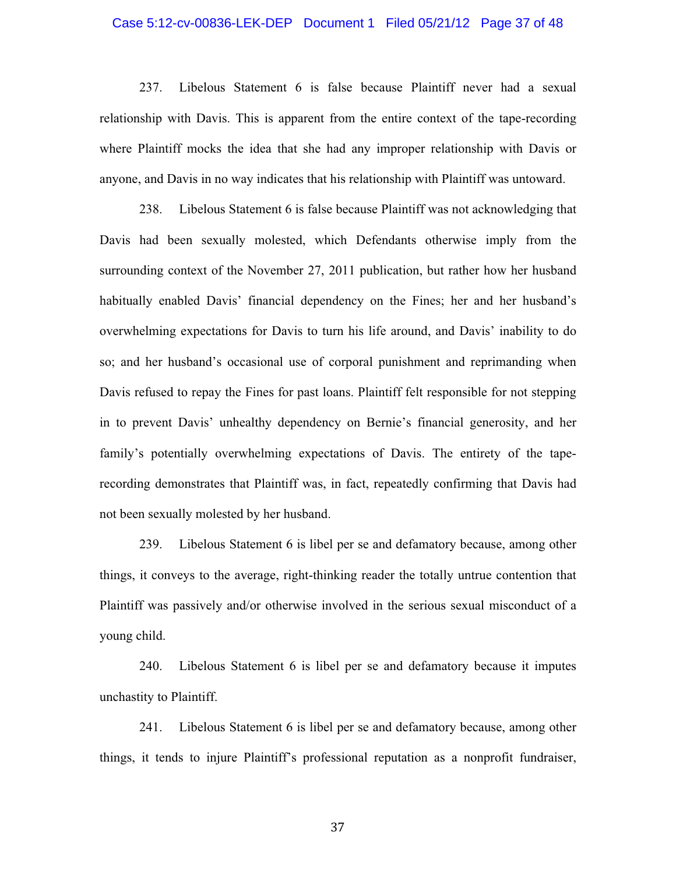#### Case 5:12-cv-00836-LEK-DEP Document 1 Filed 05/21/12 Page 37 of 48

237. Libelous Statement 6 is false because Plaintiff never had a sexual relationship with Davis. This is apparent from the entire context of the tape-recording where Plaintiff mocks the idea that she had any improper relationship with Davis or anyone, and Davis in no way indicates that his relationship with Plaintiff was untoward.

238. Libelous Statement 6 is false because Plaintiff was not acknowledging that Davis had been sexually molested, which Defendants otherwise imply from the surrounding context of the November 27, 2011 publication, but rather how her husband habitually enabled Davis' financial dependency on the Fines; her and her husband's overwhelming expectations for Davis to turn his life around, and Davis' inability to do so; and her husband's occasional use of corporal punishment and reprimanding when Davis refused to repay the Fines for past loans. Plaintiff felt responsible for not stepping in to prevent Davis' unhealthy dependency on Bernie's financial generosity, and her family's potentially overwhelming expectations of Davis. The entirety of the taperecording demonstrates that Plaintiff was, in fact, repeatedly confirming that Davis had not been sexually molested by her husband.

239. Libelous Statement 6 is libel per se and defamatory because, among other things, it conveys to the average, right-thinking reader the totally untrue contention that Plaintiff was passively and/or otherwise involved in the serious sexual misconduct of a young child.

240. Libelous Statement 6 is libel per se and defamatory because it imputes unchastity to Plaintiff.

241. Libelous Statement 6 is libel per se and defamatory because, among other things, it tends to injure Plaintiff's professional reputation as a nonprofit fundraiser,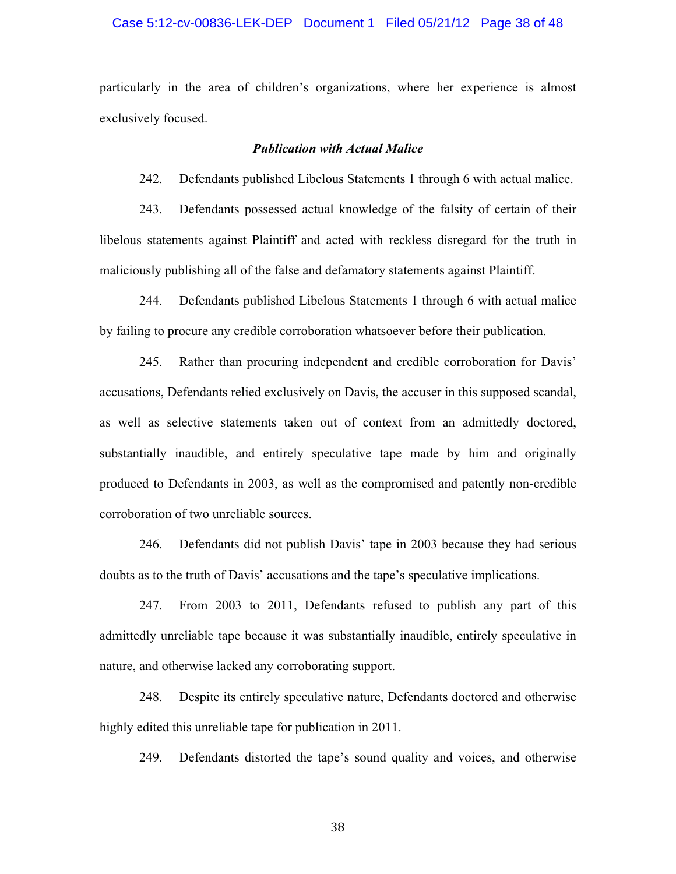#### Case 5:12-cv-00836-LEK-DEP Document 1 Filed 05/21/12 Page 38 of 48

particularly in the area of children's organizations, where her experience is almost exclusively focused.

#### *Publication with Actual Malice*

242. Defendants published Libelous Statements 1 through 6 with actual malice.

243. Defendants possessed actual knowledge of the falsity of certain of their libelous statements against Plaintiff and acted with reckless disregard for the truth in maliciously publishing all of the false and defamatory statements against Plaintiff.

244. Defendants published Libelous Statements 1 through 6 with actual malice by failing to procure any credible corroboration whatsoever before their publication.

245. Rather than procuring independent and credible corroboration for Davis' accusations, Defendants relied exclusively on Davis, the accuser in this supposed scandal, as well as selective statements taken out of context from an admittedly doctored, substantially inaudible, and entirely speculative tape made by him and originally produced to Defendants in 2003, as well as the compromised and patently non-credible corroboration of two unreliable sources.

246. Defendants did not publish Davis' tape in 2003 because they had serious doubts as to the truth of Davis' accusations and the tape's speculative implications.

247. From 2003 to 2011, Defendants refused to publish any part of this admittedly unreliable tape because it was substantially inaudible, entirely speculative in nature, and otherwise lacked any corroborating support.

248. Despite its entirely speculative nature, Defendants doctored and otherwise highly edited this unreliable tape for publication in 2011.

249. Defendants distorted the tape's sound quality and voices, and otherwise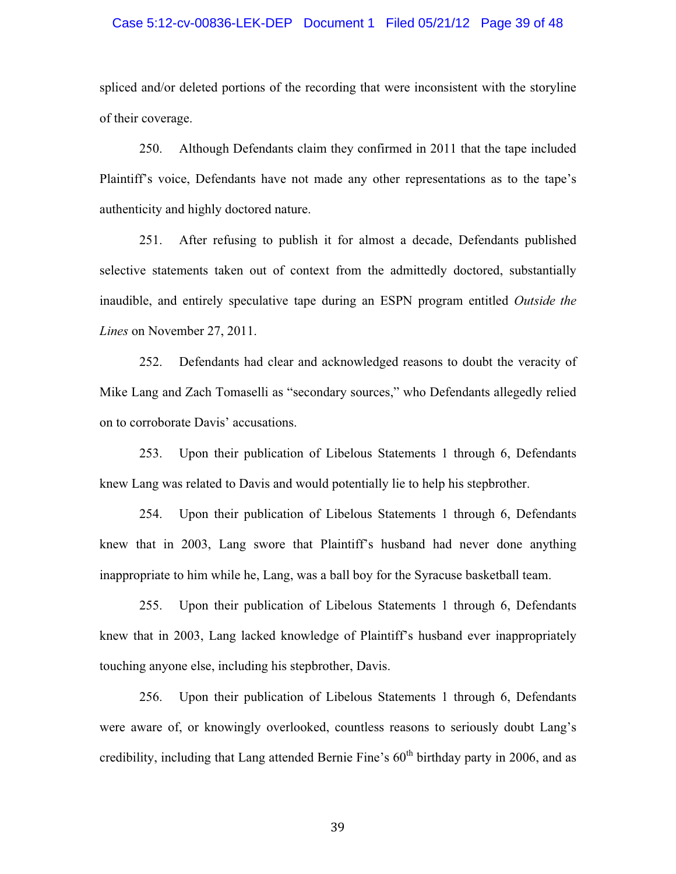#### Case 5:12-cv-00836-LEK-DEP Document 1 Filed 05/21/12 Page 39 of 48

spliced and/or deleted portions of the recording that were inconsistent with the storyline of their coverage.

250. Although Defendants claim they confirmed in 2011 that the tape included Plaintiff's voice, Defendants have not made any other representations as to the tape's authenticity and highly doctored nature.

251. After refusing to publish it for almost a decade, Defendants published selective statements taken out of context from the admittedly doctored, substantially inaudible, and entirely speculative tape during an ESPN program entitled *Outside the Lines* on November 27, 2011.

252. Defendants had clear and acknowledged reasons to doubt the veracity of Mike Lang and Zach Tomaselli as "secondary sources," who Defendants allegedly relied on to corroborate Davis' accusations.

253. Upon their publication of Libelous Statements 1 through 6, Defendants knew Lang was related to Davis and would potentially lie to help his stepbrother.

254. Upon their publication of Libelous Statements 1 through 6, Defendants knew that in 2003, Lang swore that Plaintiff's husband had never done anything inappropriate to him while he, Lang, was a ball boy for the Syracuse basketball team.

255. Upon their publication of Libelous Statements 1 through 6, Defendants knew that in 2003, Lang lacked knowledge of Plaintiff's husband ever inappropriately touching anyone else, including his stepbrother, Davis.

256. Upon their publication of Libelous Statements 1 through 6, Defendants were aware of, or knowingly overlooked, countless reasons to seriously doubt Lang's credibility, including that Lang attended Bernie Fine's  $60<sup>th</sup>$  birthday party in 2006, and as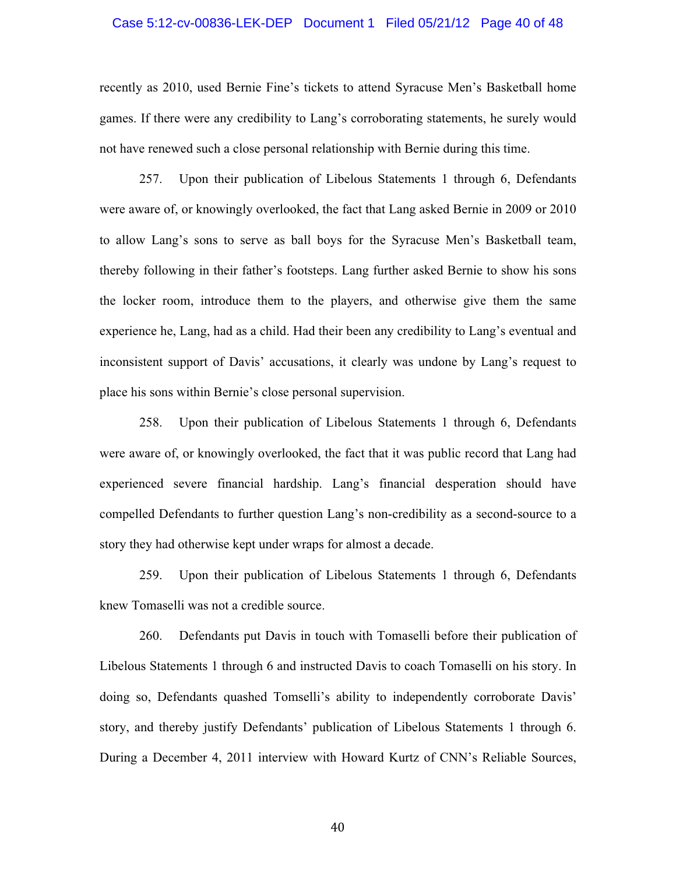# Case 5:12-cv-00836-LEK-DEP Document 1 Filed 05/21/12 Page 40 of 48

recently as 2010, used Bernie Fine's tickets to attend Syracuse Men's Basketball home games. If there were any credibility to Lang's corroborating statements, he surely would not have renewed such a close personal relationship with Bernie during this time.

257. Upon their publication of Libelous Statements 1 through 6, Defendants were aware of, or knowingly overlooked, the fact that Lang asked Bernie in 2009 or 2010 to allow Lang's sons to serve as ball boys for the Syracuse Men's Basketball team, thereby following in their father's footsteps. Lang further asked Bernie to show his sons the locker room, introduce them to the players, and otherwise give them the same experience he, Lang, had as a child. Had their been any credibility to Lang's eventual and inconsistent support of Davis' accusations, it clearly was undone by Lang's request to place his sons within Bernie's close personal supervision.

258. Upon their publication of Libelous Statements 1 through 6, Defendants were aware of, or knowingly overlooked, the fact that it was public record that Lang had experienced severe financial hardship. Lang's financial desperation should have compelled Defendants to further question Lang's non-credibility as a second-source to a story they had otherwise kept under wraps for almost a decade.

259. Upon their publication of Libelous Statements 1 through 6, Defendants knew Tomaselli was not a credible source.

260. Defendants put Davis in touch with Tomaselli before their publication of Libelous Statements 1 through 6 and instructed Davis to coach Tomaselli on his story. In doing so, Defendants quashed Tomselli's ability to independently corroborate Davis' story, and thereby justify Defendants' publication of Libelous Statements 1 through 6. During a December 4, 2011 interview with Howard Kurtz of CNN's Reliable Sources,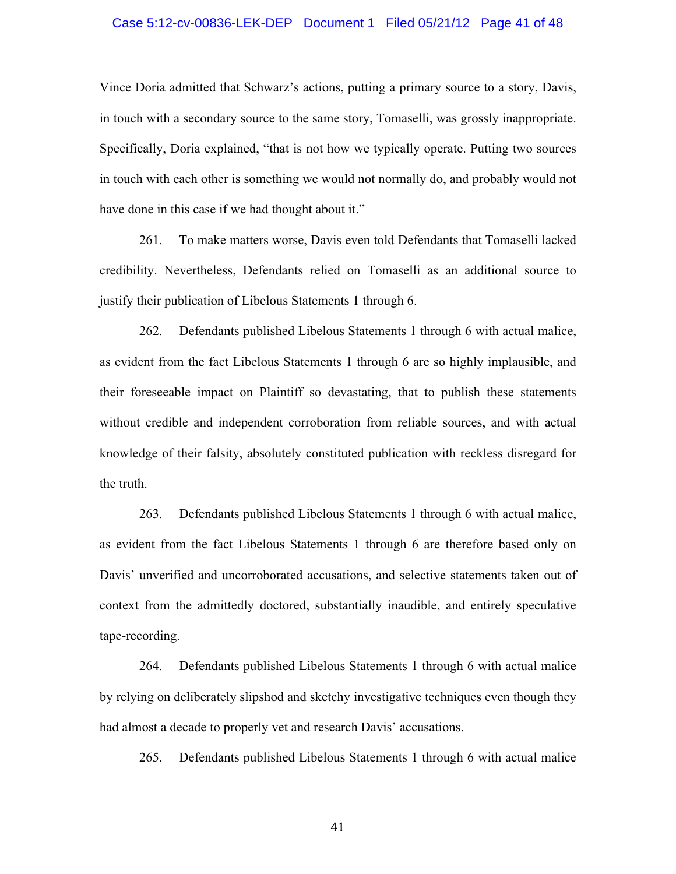#### Case 5:12-cv-00836-LEK-DEP Document 1 Filed 05/21/12 Page 41 of 48

Vince Doria admitted that Schwarz's actions, putting a primary source to a story, Davis, in touch with a secondary source to the same story, Tomaselli, was grossly inappropriate. Specifically, Doria explained, "that is not how we typically operate. Putting two sources in touch with each other is something we would not normally do, and probably would not have done in this case if we had thought about it."

261. To make matters worse, Davis even told Defendants that Tomaselli lacked credibility. Nevertheless, Defendants relied on Tomaselli as an additional source to justify their publication of Libelous Statements 1 through 6.

262. Defendants published Libelous Statements 1 through 6 with actual malice, as evident from the fact Libelous Statements 1 through 6 are so highly implausible, and their foreseeable impact on Plaintiff so devastating, that to publish these statements without credible and independent corroboration from reliable sources, and with actual knowledge of their falsity, absolutely constituted publication with reckless disregard for the truth.

263. Defendants published Libelous Statements 1 through 6 with actual malice, as evident from the fact Libelous Statements 1 through 6 are therefore based only on Davis' unverified and uncorroborated accusations, and selective statements taken out of context from the admittedly doctored, substantially inaudible, and entirely speculative tape-recording.

264. Defendants published Libelous Statements 1 through 6 with actual malice by relying on deliberately slipshod and sketchy investigative techniques even though they had almost a decade to properly vet and research Davis' accusations.

265. Defendants published Libelous Statements 1 through 6 with actual malice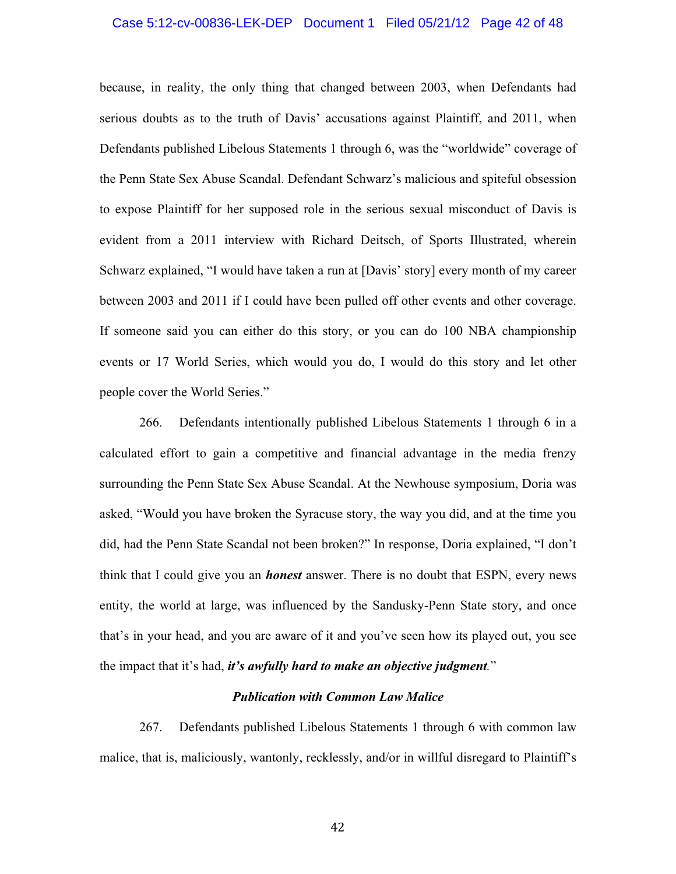# Case 5:12-cv-00836-LEK-DEP Document 1 Filed 05/21/12 Page 42 of 48

because, in reality, the only thing that changed between 2003, when Defendants had serious doubts as to the truth of Davis' accusations against Plaintiff, and 2011, when Defendants published Libelous Statements 1 through 6, was the "worldwide" coverage of the Penn State Sex Abuse Scandal. Defendant Schwarz's malicious and spiteful obsession to expose Plaintiff for her supposed role in the serious sexual misconduct of Davis is evident from a 2011 interview with Richard Deitsch, of Sports Illustrated, wherein Schwarz explained, "I would have taken a run at [Davis' story] every month of my career between 2003 and 2011 if I could have been pulled off other events and other coverage. If someone said you can either do this story, or you can do 100 NBA championship events or 17 World Series, which would you do, I would do this story and let other people cover the World Series."

266. Defendants intentionally published Libelous Statements 1 through 6 in a calculated effort to gain a competitive and financial advantage in the media frenzy surrounding the Penn State Sex Abuse Scandal. At the Newhouse symposium, Doria was asked, "Would you have broken the Syracuse story, the way you did, and at the time you did, had the Penn State Scandal not been broken?" In response, Doria explained, "I don't think that I could give you an *honest* answer. There is no doubt that ESPN, every news entity, the world at large, was influenced by the Sandusky-Penn State story, and once that's in your head, and you are aware of it and you've seen how its played out, you see the impact that it's had, *it's awfully hard to make an objective judgment.*"

### *Publication with Common Law Malice*

267. Defendants published Libelous Statements 1 through 6 with common law malice, that is, maliciously, wantonly, recklessly, and/or in willful disregard to Plaintiff's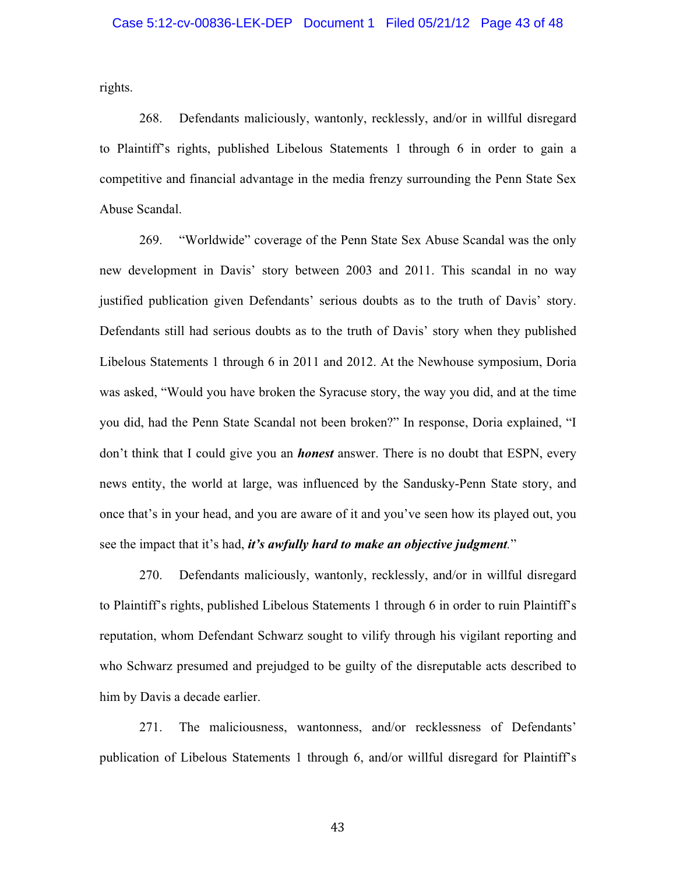rights.

268. Defendants maliciously, wantonly, recklessly, and/or in willful disregard to Plaintiff's rights, published Libelous Statements 1 through 6 in order to gain a competitive and financial advantage in the media frenzy surrounding the Penn State Sex Abuse Scandal.

269. "Worldwide" coverage of the Penn State Sex Abuse Scandal was the only new development in Davis' story between 2003 and 2011. This scandal in no way justified publication given Defendants' serious doubts as to the truth of Davis' story. Defendants still had serious doubts as to the truth of Davis' story when they published Libelous Statements 1 through 6 in 2011 and 2012. At the Newhouse symposium, Doria was asked, "Would you have broken the Syracuse story, the way you did, and at the time you did, had the Penn State Scandal not been broken?" In response, Doria explained, "I don't think that I could give you an *honest* answer. There is no doubt that ESPN, every news entity, the world at large, was influenced by the Sandusky-Penn State story, and once that's in your head, and you are aware of it and you've seen how its played out, you see the impact that it's had, *it's awfully hard to make an objective judgment.*"

270. Defendants maliciously, wantonly, recklessly, and/or in willful disregard to Plaintiff's rights, published Libelous Statements 1 through 6 in order to ruin Plaintiff's reputation, whom Defendant Schwarz sought to vilify through his vigilant reporting and who Schwarz presumed and prejudged to be guilty of the disreputable acts described to him by Davis a decade earlier.

271. The maliciousness, wantonness, and/or recklessness of Defendants' publication of Libelous Statements 1 through 6, and/or willful disregard for Plaintiff's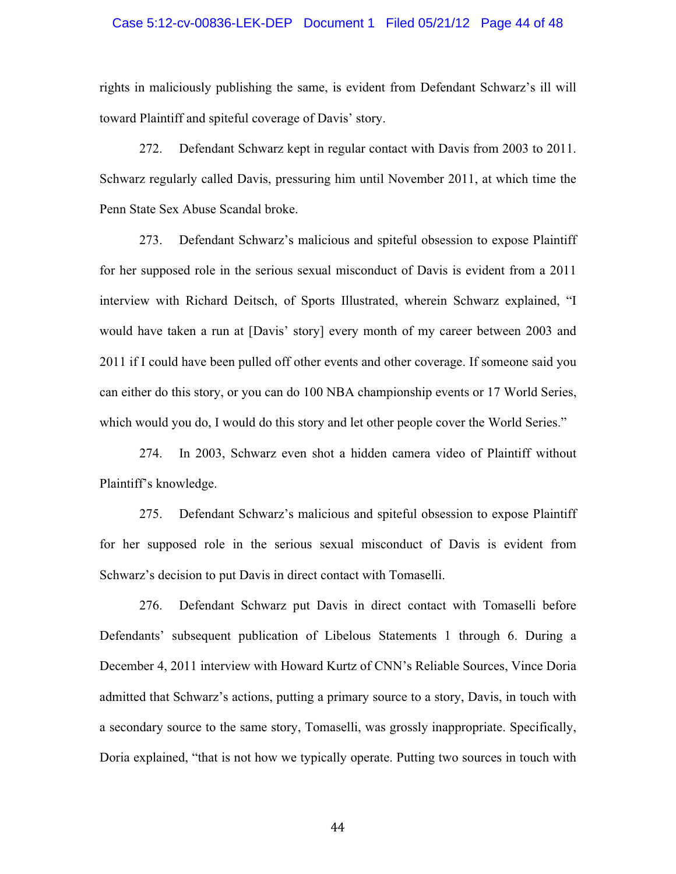#### Case 5:12-cv-00836-LEK-DEP Document 1 Filed 05/21/12 Page 44 of 48

rights in maliciously publishing the same, is evident from Defendant Schwarz's ill will toward Plaintiff and spiteful coverage of Davis' story.

272. Defendant Schwarz kept in regular contact with Davis from 2003 to 2011. Schwarz regularly called Davis, pressuring him until November 2011, at which time the Penn State Sex Abuse Scandal broke.

273. Defendant Schwarz's malicious and spiteful obsession to expose Plaintiff for her supposed role in the serious sexual misconduct of Davis is evident from a 2011 interview with Richard Deitsch, of Sports Illustrated, wherein Schwarz explained, "I would have taken a run at [Davis' story] every month of my career between 2003 and 2011 if I could have been pulled off other events and other coverage. If someone said you can either do this story, or you can do 100 NBA championship events or 17 World Series, which would you do, I would do this story and let other people cover the World Series."

274. In 2003, Schwarz even shot a hidden camera video of Plaintiff without Plaintiff's knowledge.

275. Defendant Schwarz's malicious and spiteful obsession to expose Plaintiff for her supposed role in the serious sexual misconduct of Davis is evident from Schwarz's decision to put Davis in direct contact with Tomaselli.

276. Defendant Schwarz put Davis in direct contact with Tomaselli before Defendants' subsequent publication of Libelous Statements 1 through 6. During a December 4, 2011 interview with Howard Kurtz of CNN's Reliable Sources, Vince Doria admitted that Schwarz's actions, putting a primary source to a story, Davis, in touch with a secondary source to the same story, Tomaselli, was grossly inappropriate. Specifically, Doria explained, "that is not how we typically operate. Putting two sources in touch with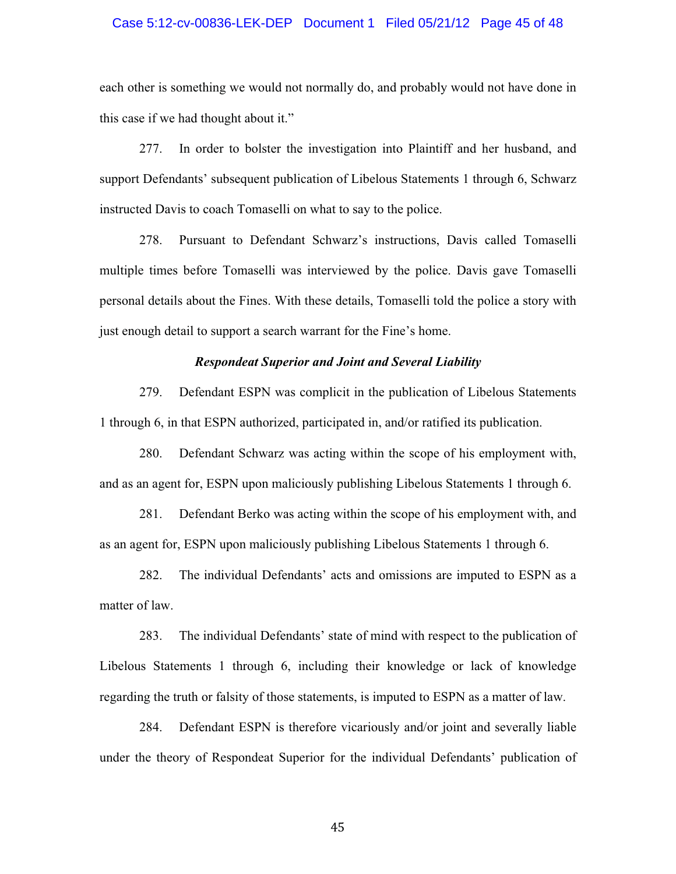#### Case 5:12-cv-00836-LEK-DEP Document 1 Filed 05/21/12 Page 45 of 48

each other is something we would not normally do, and probably would not have done in this case if we had thought about it."

277. In order to bolster the investigation into Plaintiff and her husband, and support Defendants' subsequent publication of Libelous Statements 1 through 6, Schwarz instructed Davis to coach Tomaselli on what to say to the police.

278. Pursuant to Defendant Schwarz's instructions, Davis called Tomaselli multiple times before Tomaselli was interviewed by the police. Davis gave Tomaselli personal details about the Fines. With these details, Tomaselli told the police a story with just enough detail to support a search warrant for the Fine's home.

### *Respondeat Superior and Joint and Several Liability*

279. Defendant ESPN was complicit in the publication of Libelous Statements 1 through 6, in that ESPN authorized, participated in, and/or ratified its publication.

280. Defendant Schwarz was acting within the scope of his employment with, and as an agent for, ESPN upon maliciously publishing Libelous Statements 1 through 6.

281. Defendant Berko was acting within the scope of his employment with, and as an agent for, ESPN upon maliciously publishing Libelous Statements 1 through 6.

282. The individual Defendants' acts and omissions are imputed to ESPN as a matter of law.

283. The individual Defendants' state of mind with respect to the publication of Libelous Statements 1 through 6, including their knowledge or lack of knowledge regarding the truth or falsity of those statements, is imputed to ESPN as a matter of law.

284. Defendant ESPN is therefore vicariously and/or joint and severally liable under the theory of Respondeat Superior for the individual Defendants' publication of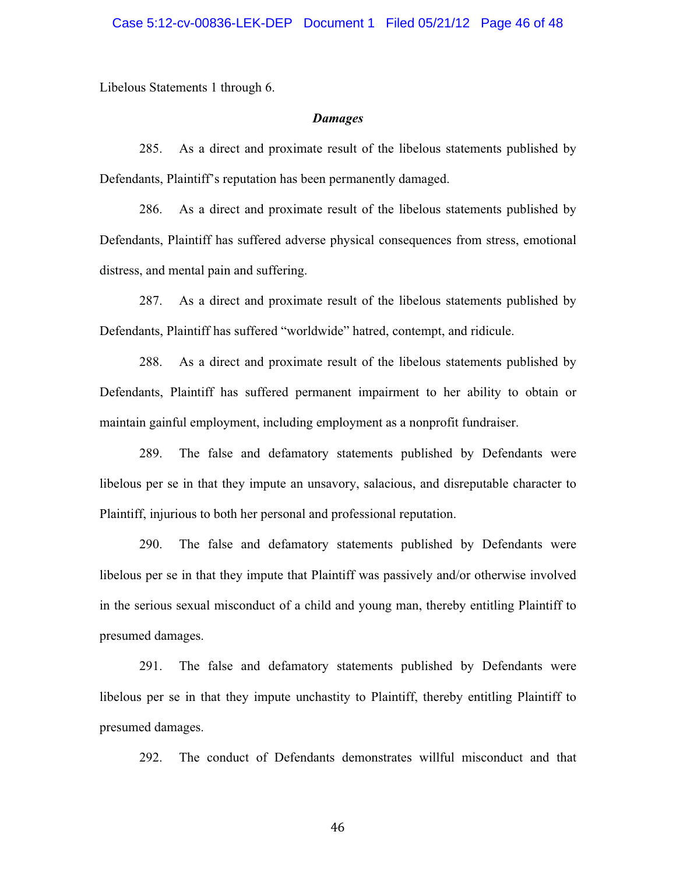Libelous Statements 1 through 6.

#### *Damages*

285. As a direct and proximate result of the libelous statements published by Defendants, Plaintiff's reputation has been permanently damaged.

286. As a direct and proximate result of the libelous statements published by Defendants, Plaintiff has suffered adverse physical consequences from stress, emotional distress, and mental pain and suffering.

287. As a direct and proximate result of the libelous statements published by Defendants, Plaintiff has suffered "worldwide" hatred, contempt, and ridicule.

288. As a direct and proximate result of the libelous statements published by Defendants, Plaintiff has suffered permanent impairment to her ability to obtain or maintain gainful employment, including employment as a nonprofit fundraiser.

289. The false and defamatory statements published by Defendants were libelous per se in that they impute an unsavory, salacious, and disreputable character to Plaintiff, injurious to both her personal and professional reputation.

290. The false and defamatory statements published by Defendants were libelous per se in that they impute that Plaintiff was passively and/or otherwise involved in the serious sexual misconduct of a child and young man, thereby entitling Plaintiff to presumed damages.

291. The false and defamatory statements published by Defendants were libelous per se in that they impute unchastity to Plaintiff, thereby entitling Plaintiff to presumed damages.

292. The conduct of Defendants demonstrates willful misconduct and that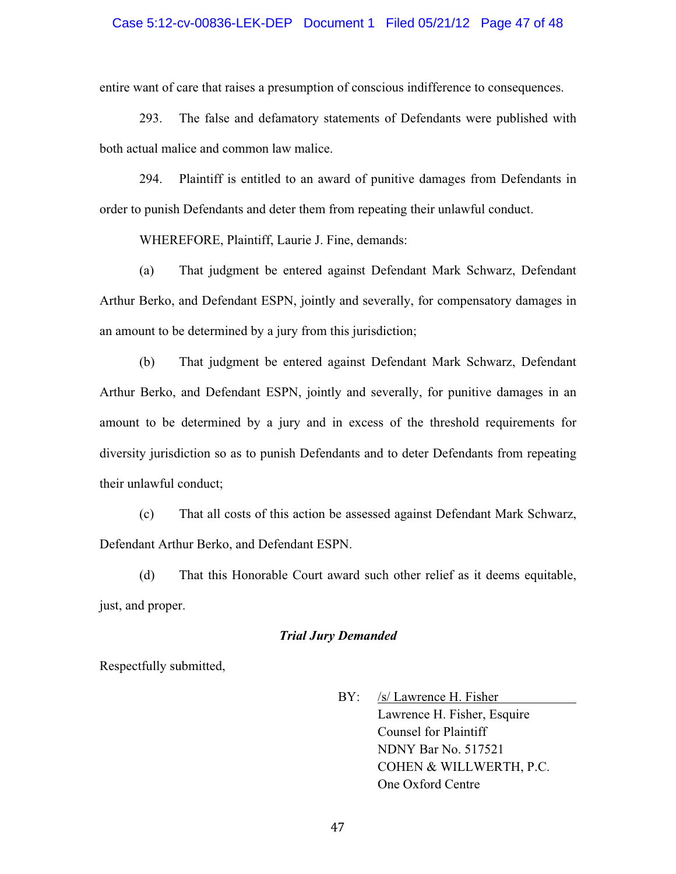#### Case 5:12-cv-00836-LEK-DEP Document 1 Filed 05/21/12 Page 47 of 48

entire want of care that raises a presumption of conscious indifference to consequences.

293. The false and defamatory statements of Defendants were published with both actual malice and common law malice.

294. Plaintiff is entitled to an award of punitive damages from Defendants in order to punish Defendants and deter them from repeating their unlawful conduct.

WHEREFORE, Plaintiff, Laurie J. Fine, demands:

(a) That judgment be entered against Defendant Mark Schwarz, Defendant Arthur Berko, and Defendant ESPN, jointly and severally, for compensatory damages in an amount to be determined by a jury from this jurisdiction;

(b) That judgment be entered against Defendant Mark Schwarz, Defendant Arthur Berko, and Defendant ESPN, jointly and severally, for punitive damages in an amount to be determined by a jury and in excess of the threshold requirements for diversity jurisdiction so as to punish Defendants and to deter Defendants from repeating their unlawful conduct;

(c) That all costs of this action be assessed against Defendant Mark Schwarz, Defendant Arthur Berko, and Defendant ESPN.

(d) That this Honorable Court award such other relief as it deems equitable, just, and proper.

### *Trial Jury Demanded*

Respectfully submitted,

 BY: /s/ Lawrence H. Fisher Lawrence H. Fisher, Esquire Counsel for Plaintiff NDNY Bar No. 517521 COHEN & WILLWERTH, P.C. One Oxford Centre